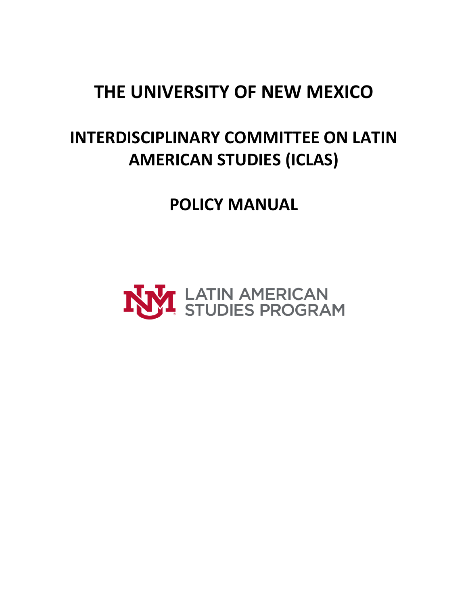## **THE UNIVERSITY OF NEW MEXICO**

## **INTERDISCIPLINARY COMMITTEE ON LATIN AMERICAN STUDIES (ICLAS)**

**POLICY MANUAL**

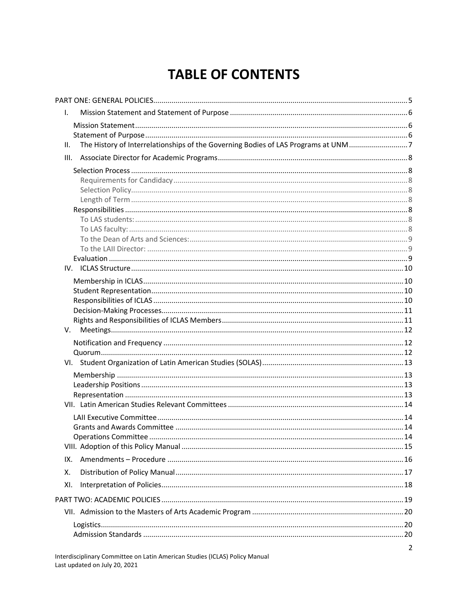## **TABLE OF CONTENTS**

| I.  |                                                                                   |  |
|-----|-----------------------------------------------------------------------------------|--|
|     |                                                                                   |  |
|     |                                                                                   |  |
| Ш.  | The History of Interrelationships of the Governing Bodies of LAS Programs at UNM7 |  |
|     |                                                                                   |  |
|     |                                                                                   |  |
|     |                                                                                   |  |
|     |                                                                                   |  |
|     |                                                                                   |  |
|     |                                                                                   |  |
|     |                                                                                   |  |
|     |                                                                                   |  |
|     |                                                                                   |  |
|     |                                                                                   |  |
|     |                                                                                   |  |
|     |                                                                                   |  |
|     |                                                                                   |  |
|     |                                                                                   |  |
|     |                                                                                   |  |
|     |                                                                                   |  |
|     |                                                                                   |  |
|     |                                                                                   |  |
|     |                                                                                   |  |
|     |                                                                                   |  |
|     |                                                                                   |  |
|     |                                                                                   |  |
|     |                                                                                   |  |
|     |                                                                                   |  |
|     |                                                                                   |  |
|     |                                                                                   |  |
| IX. |                                                                                   |  |
| Χ.  |                                                                                   |  |
| XI. |                                                                                   |  |
|     |                                                                                   |  |
|     |                                                                                   |  |
|     |                                                                                   |  |
|     |                                                                                   |  |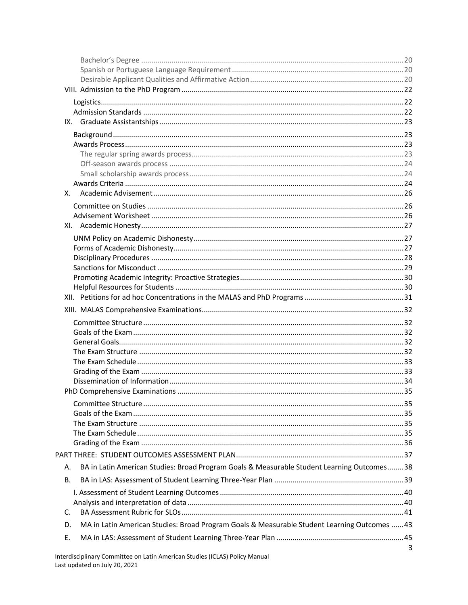| Х.                                                                                                 |   |
|----------------------------------------------------------------------------------------------------|---|
|                                                                                                    |   |
|                                                                                                    |   |
|                                                                                                    |   |
|                                                                                                    |   |
|                                                                                                    |   |
|                                                                                                    |   |
|                                                                                                    |   |
|                                                                                                    |   |
|                                                                                                    |   |
|                                                                                                    |   |
|                                                                                                    |   |
|                                                                                                    |   |
|                                                                                                    |   |
|                                                                                                    |   |
|                                                                                                    |   |
|                                                                                                    |   |
|                                                                                                    |   |
|                                                                                                    |   |
|                                                                                                    |   |
|                                                                                                    |   |
|                                                                                                    |   |
|                                                                                                    |   |
|                                                                                                    |   |
| BA in Latin American Studies: Broad Program Goals & Measurable Student Learning Outcomes38<br>А.   |   |
| В.                                                                                                 |   |
|                                                                                                    |   |
|                                                                                                    |   |
| C.                                                                                                 |   |
| MA in Latin American Studies: Broad Program Goals & Measurable Student Learning Outcomes  43<br>D. |   |
| Е.                                                                                                 |   |
|                                                                                                    | 3 |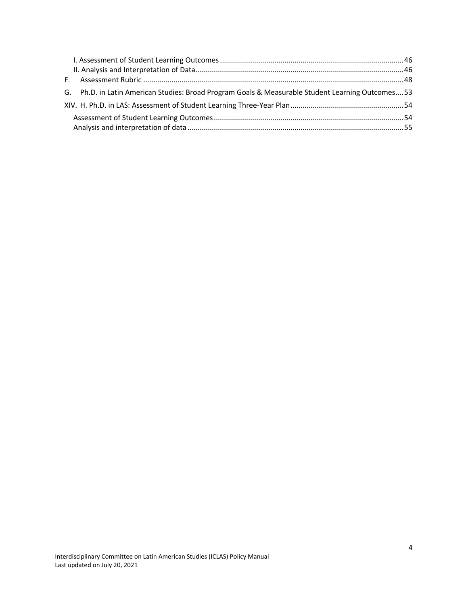| G. Ph.D. in Latin American Studies: Broad Program Goals & Measurable Student Learning Outcomes 53 |  |
|---------------------------------------------------------------------------------------------------|--|
|                                                                                                   |  |
|                                                                                                   |  |
|                                                                                                   |  |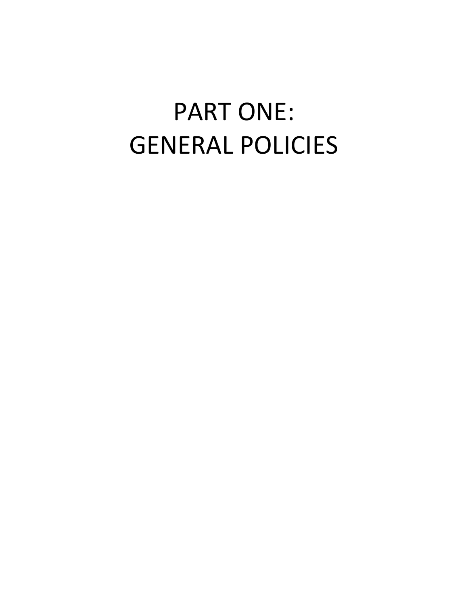# <span id="page-4-0"></span>PART ONE: GENERAL POLICIES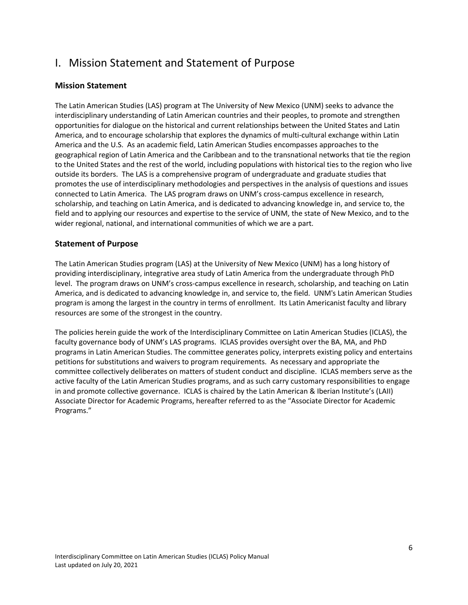## <span id="page-5-0"></span>I. Mission Statement and Statement of Purpose

#### <span id="page-5-1"></span>**Mission Statement**

The Latin American Studies (LAS) program at The University of New Mexico (UNM) seeks to advance the interdisciplinary understanding of Latin American countries and their peoples, to promote and strengthen opportunities for dialogue on the historical and current relationships between the United States and Latin America, and to encourage scholarship that explores the dynamics of multi-cultural exchange within Latin America and the U.S. As an academic field, Latin American Studies encompasses approaches to the geographical region of Latin America and the Caribbean and to the transnational networks that tie the region to the United States and the rest of the world, including populations with historical ties to the region who live outside its borders. The LAS is a comprehensive program of undergraduate and graduate studies that promotes the use of interdisciplinary methodologies and perspectives in the analysis of questions and issues connected to Latin America. The LAS program draws on UNM's cross-campus excellence in research, scholarship, and teaching on Latin America, and is dedicated to advancing knowledge in, and service to, the field and to applying our resources and expertise to the service of UNM, the state of New Mexico, and to the wider regional, national, and international communities of which we are a part.

#### <span id="page-5-2"></span>**Statement of Purpose**

The Latin American Studies program (LAS) at the University of New Mexico (UNM) has a long history of providing interdisciplinary, integrative area study of Latin America from the undergraduate through PhD level. The program draws on UNM's cross-campus excellence in research, scholarship, and teaching on Latin America, and is dedicated to advancing knowledge in, and service to, the field. UNM's Latin American Studies program is among the largest in the country in terms of enrollment. Its Latin Americanist faculty and library resources are some of the strongest in the country.

The policies herein guide the work of the Interdisciplinary Committee on Latin American Studies (ICLAS), the faculty governance body of UNM's LAS programs. ICLAS provides oversight over the BA, MA, and PhD programs in Latin American Studies. The committee generates policy, interprets existing policy and entertains petitions for substitutions and waivers to program requirements. As necessary and appropriate the committee collectively deliberates on matters of student conduct and discipline. ICLAS members serve as the active faculty of the Latin American Studies programs, and as such carry customary responsibilities to engage in and promote collective governance. ICLAS is chaired by the Latin American & Iberian Institute's (LAII) Associate Director for Academic Programs, hereafter referred to as the "Associate Director for Academic Programs."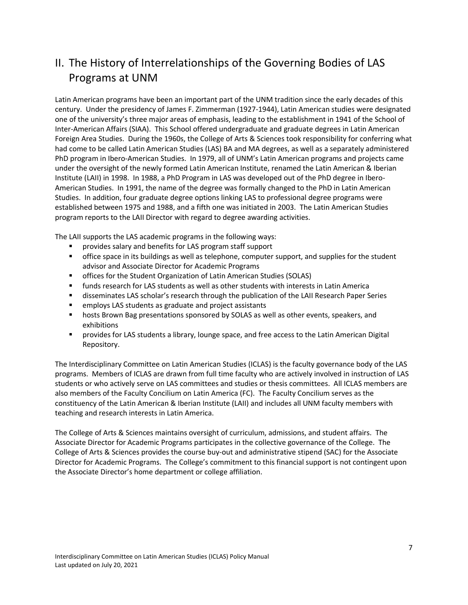## <span id="page-6-0"></span>II. The History of Interrelationships of the Governing Bodies of LAS Programs at UNM

Latin American programs have been an important part of the UNM tradition since the early decades of this century. Under the presidency of James F. Zimmerman (1927-1944), Latin American studies were designated one of the university's three major areas of emphasis, leading to the establishment in 1941 of the School of Inter-American Affairs (SIAA). This School offered undergraduate and graduate degrees in Latin American Foreign Area Studies. During the 1960s, the College of Arts & Sciences took responsibility for conferring what had come to be called Latin American Studies (LAS) BA and MA degrees, as well as a separately administered PhD program in Ibero-American Studies. In 1979, all of UNM's Latin American programs and projects came under the oversight of the newly formed Latin American Institute, renamed the Latin American & Iberian Institute (LAII) in 1998. In 1988, a PhD Program in LAS was developed out of the PhD degree in Ibero-American Studies. In 1991, the name of the degree was formally changed to the PhD in Latin American Studies. In addition, four graduate degree options linking LAS to professional degree programs were established between 1975 and 1988, and a fifth one was initiated in 2003. The Latin American Studies program reports to the LAII Director with regard to degree awarding activities.

The LAII supports the LAS academic programs in the following ways:

- provides salary and benefits for LAS program staff support
- **•** office space in its buildings as well as telephone, computer support, and supplies for the student advisor and Associate Director for Academic Programs
- offices for the Student Organization of Latin American Studies (SOLAS)
- **■** funds research for LAS students as well as other students with interests in Latin America
- **■** disseminates LAS scholar's research through the publication of the LAII Research Paper Series
- employs LAS students as graduate and project assistants
- **■** hosts Brown Bag presentations sponsored by SOLAS as well as other events, speakers, and exhibitions
- **•** provides for LAS students a library, lounge space, and free access to the Latin American Digital Repository.

The Interdisciplinary Committee on Latin American Studies (ICLAS) is the faculty governance body of the LAS programs. Members of ICLAS are drawn from full time faculty who are actively involved in instruction of LAS students or who actively serve on LAS committees and studies or thesis committees. All ICLAS members are also members of the Faculty Concilium on Latin America (FC). The Faculty Concilium serves as the constituency of the Latin American & Iberian Institute (LAII) and includes all UNM faculty members with teaching and research interests in Latin America.

The College of Arts & Sciences maintains oversight of curriculum, admissions, and student affairs. The Associate Director for Academic Programs participates in the collective governance of the College. The College of Arts & Sciences provides the course buy-out and administrative stipend (SAC) for the Associate Director for Academic Programs. The College's commitment to this financial support is not contingent upon the Associate Director's home department or college affiliation.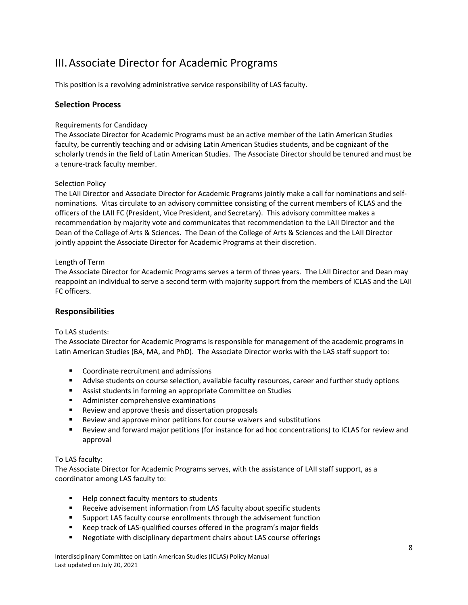## <span id="page-7-0"></span>III.Associate Director for Academic Programs

This position is a revolving administrative service responsibility of LAS faculty.

#### <span id="page-7-1"></span>**Selection Process**

#### <span id="page-7-2"></span>Requirements for Candidacy

The Associate Director for Academic Programs must be an active member of the Latin American Studies faculty, be currently teaching and or advising Latin American Studies students, and be cognizant of the scholarly trends in the field of Latin American Studies. The Associate Director should be tenured and must be a tenure-track faculty member.

#### <span id="page-7-3"></span>Selection Policy

The LAII Director and Associate Director for Academic Programs jointly make a call for nominations and selfnominations. Vitas circulate to an advisory committee consisting of the current members of ICLAS and the officers of the LAII FC (President, Vice President, and Secretary). This advisory committee makes a recommendation by majority vote and communicates that recommendation to the LAII Director and the Dean of the College of Arts & Sciences. The Dean of the College of Arts & Sciences and the LAII Director jointly appoint the Associate Director for Academic Programs at their discretion.

#### <span id="page-7-4"></span>Length of Term

The Associate Director for Academic Programs serves a term of three years. The LAII Director and Dean may reappoint an individual to serve a second term with majority support from the members of ICLAS and the LAII FC officers.

#### <span id="page-7-5"></span>**Responsibilities**

#### <span id="page-7-6"></span>To LAS students:

The Associate Director for Academic Programs is responsible for management of the academic programs in Latin American Studies (BA, MA, and PhD). The Associate Director works with the LAS staff support to:

- Coordinate recruitment and admissions
- **EXECT** Advise students on course selection, available faculty resources, career and further study options
- Assist students in forming an appropriate Committee on Studies
- Administer comprehensive examinations
- Review and approve thesis and dissertation proposals
- Review and approve minor petitions for course waivers and substitutions
- Review and forward major petitions (for instance for ad hoc concentrations) to ICLAS for review and approval

#### <span id="page-7-7"></span>To LAS faculty:

The Associate Director for Academic Programs serves, with the assistance of LAII staff support, as a coordinator among LAS faculty to:

- Help connect faculty mentors to students
- Receive advisement information from LAS faculty about specific students
- Support LAS faculty course enrollments through the advisement function
- Keep track of LAS-qualified courses offered in the program's major fields
- Negotiate with disciplinary department chairs about LAS course offerings

Interdisciplinary Committee on Latin American Studies (ICLAS) Policy Manual Last updated on July 20, 2021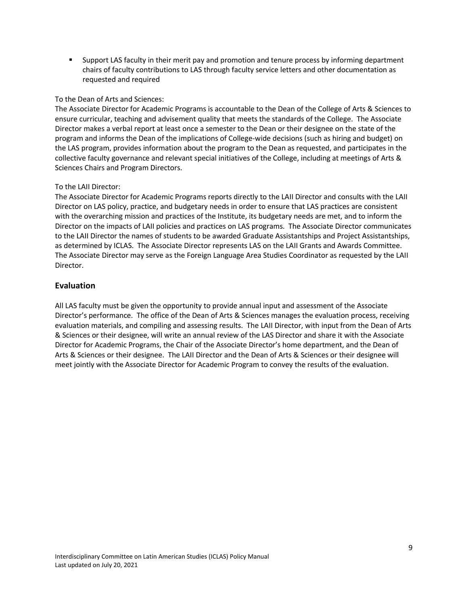▪ Support LAS faculty in their merit pay and promotion and tenure process by informing department chairs of faculty contributions to LAS through faculty service letters and other documentation as requested and required

#### <span id="page-8-0"></span>To the Dean of Arts and Sciences:

The Associate Director for Academic Programs is accountable to the Dean of the College of Arts & Sciences to ensure curricular, teaching and advisement quality that meets the standards of the College. The Associate Director makes a verbal report at least once a semester to the Dean or their designee on the state of the program and informs the Dean of the implications of College-wide decisions (such as hiring and budget) on the LAS program, provides information about the program to the Dean as requested, and participates in the collective faculty governance and relevant special initiatives of the College, including at meetings of Arts & Sciences Chairs and Program Directors.

#### <span id="page-8-1"></span>To the LAII Director:

The Associate Director for Academic Programs reports directly to the LAII Director and consults with the LAII Director on LAS policy, practice, and budgetary needs in order to ensure that LAS practices are consistent with the overarching mission and practices of the Institute, its budgetary needs are met, and to inform the Director on the impacts of LAII policies and practices on LAS programs. The Associate Director communicates to the LAII Director the names of students to be awarded Graduate Assistantships and Project Assistantships, as determined by ICLAS. The Associate Director represents LAS on the LAII Grants and Awards Committee. The Associate Director may serve as the Foreign Language Area Studies Coordinator as requested by the LAII Director.

#### <span id="page-8-2"></span>**Evaluation**

All LAS faculty must be given the opportunity to provide annual input and assessment of the Associate Director's performance. The office of the Dean of Arts & Sciences manages the evaluation process, receiving evaluation materials, and compiling and assessing results. The LAII Director, with input from the Dean of Arts & Sciences or their designee, will write an annual review of the LAS Director and share it with the Associate Director for Academic Programs, the Chair of the Associate Director's home department, and the Dean of Arts & Sciences or their designee. The LAII Director and the Dean of Arts & Sciences or their designee will meet jointly with the Associate Director for Academic Program to convey the results of the evaluation.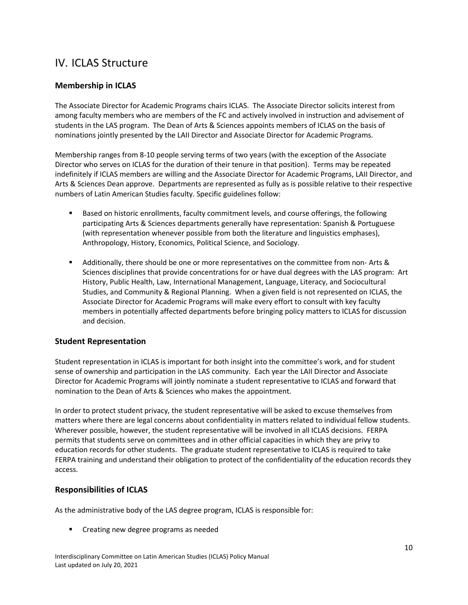### <span id="page-9-0"></span>IV. ICLAS Structure

#### <span id="page-9-1"></span>**Membership in ICLAS**

The Associate Director for Academic Programs chairs ICLAS. The Associate Director solicits interest from among faculty members who are members of the FC and actively involved in instruction and advisement of students in the LAS program. The Dean of Arts & Sciences appoints members of ICLAS on the basis of nominations jointly presented by the LAII Director and Associate Director for Academic Programs.

Membership ranges from 8-10 people serving terms of two years (with the exception of the Associate Director who serves on ICLAS for the duration of their tenure in that position). Terms may be repeated indefinitely if ICLAS members are willing and the Associate Director for Academic Programs, LAII Director, and Arts & Sciences Dean approve. Departments are represented as fully as is possible relative to their respective numbers of Latin American Studies faculty. Specific guidelines follow:

- Based on historic enrollments, faculty commitment levels, and course offerings, the following participating Arts & Sciences departments generally have representation: Spanish & Portuguese (with representation whenever possible from both the literature and linguistics emphases), Anthropology, History, Economics, Political Science, and Sociology.
- Additionally, there should be one or more representatives on the committee from non-Arts & Sciences disciplines that provide concentrations for or have dual degrees with the LAS program: Art History, Public Health, Law, International Management, Language, Literacy, and Sociocultural Studies, and Community & Regional Planning. When a given field is not represented on ICLAS, the Associate Director for Academic Programs will make every effort to consult with key faculty members in potentially affected departments before bringing policy matters to ICLAS for discussion and decision.

#### <span id="page-9-2"></span>**Student Representation**

Student representation in ICLAS is important for both insight into the committee's work, and for student sense of ownership and participation in the LAS community. Each year the LAII Director and Associate Director for Academic Programs will jointly nominate a student representative to ICLAS and forward that nomination to the Dean of Arts & Sciences who makes the appointment.

In order to protect student privacy, the student representative will be asked to excuse themselves from matters where there are legal concerns about confidentiality in matters related to individual fellow students. Wherever possible, however, the student representative will be involved in all ICLAS decisions. FERPA permits that students serve on committees and in other official capacities in which they are privy to education records for other students. The graduate student representative to ICLAS is required to take FERPA training and understand their obligation to protect of the confidentiality of the education records they access.

#### <span id="page-9-3"></span>**Responsibilities of ICLAS**

As the administrative body of the LAS degree program, ICLAS is responsible for:

Creating new degree programs as needed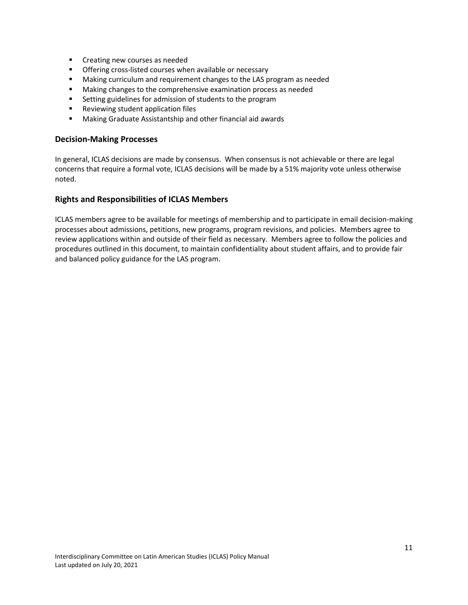- Creating new courses as needed
- Offering cross-listed courses when available or necessary
- Making curriculum and requirement changes to the LAS program as needed
- Making changes to the comprehensive examination process as needed
- Setting guidelines for admission of students to the program
- Reviewing student application files
- Making Graduate Assistantship and other financial aid awards

#### <span id="page-10-0"></span>**Decision-Making Processes**

In general, ICLAS decisions are made by consensus. When consensus is not achievable or there are legal concerns that require a formal vote, ICLAS decisions will be made by a 51% majority vote unless otherwise noted.

#### <span id="page-10-1"></span>**Rights and Responsibilities of ICLAS Members**

ICLAS members agree to be available for meetings of membership and to participate in email decision-making processes about admissions, petitions, new programs, program revisions, and policies. Members agree to review applications within and outside of their field as necessary. Members agree to follow the policies and procedures outlined in this document, to maintain confidentiality about student affairs, and to provide fair and balanced policy guidance for the LAS program.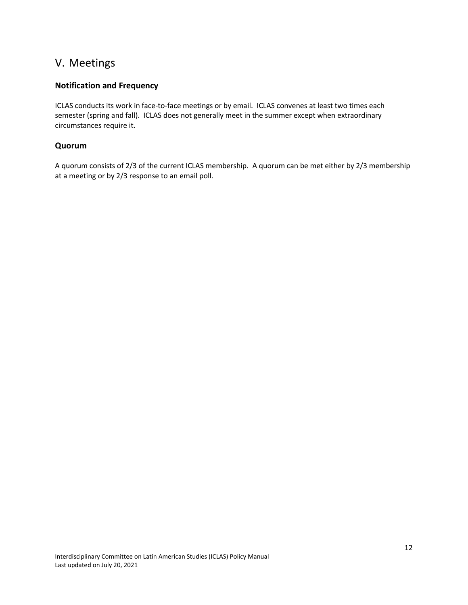### <span id="page-11-0"></span>V. Meetings

#### <span id="page-11-1"></span>**Notification and Frequency**

ICLAS conducts its work in face-to-face meetings or by email. ICLAS convenes at least two times each semester (spring and fall). ICLAS does not generally meet in the summer except when extraordinary circumstances require it.

#### <span id="page-11-2"></span>**Quorum**

A quorum consists of 2/3 of the current ICLAS membership. A quorum can be met either by 2/3 membership at a meeting or by 2/3 response to an email poll.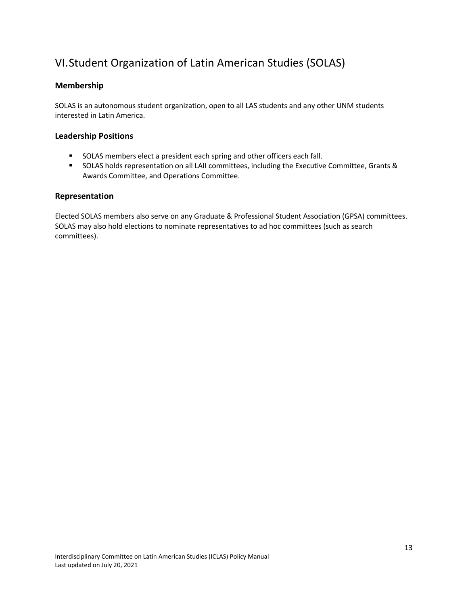## <span id="page-12-0"></span>VI.Student Organization of Latin American Studies (SOLAS)

#### <span id="page-12-1"></span>**Membership**

SOLAS is an autonomous student organization, open to all LAS students and any other UNM students interested in Latin America.

#### <span id="page-12-2"></span>**Leadership Positions**

- SOLAS members elect a president each spring and other officers each fall.
- SOLAS holds representation on all LAII committees, including the Executive Committee, Grants & Awards Committee, and Operations Committee.

#### <span id="page-12-3"></span>**Representation**

Elected SOLAS members also serve on any Graduate & Professional Student Association (GPSA) committees. SOLAS may also hold elections to nominate representatives to ad hoc committees (such as search committees).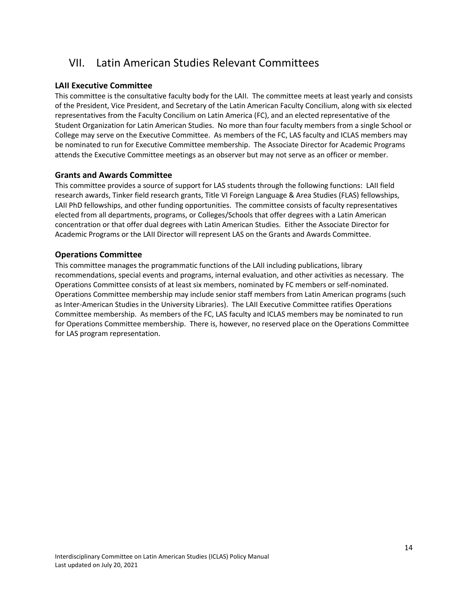## <span id="page-13-0"></span>VII. Latin American Studies Relevant Committees

#### <span id="page-13-1"></span>**LAII Executive Committee**

This committee is the consultative faculty body for the LAII. The committee meets at least yearly and consists of the President, Vice President, and Secretary of the Latin American Faculty Concilium, along with six elected representatives from the Faculty Concilium on Latin America (FC), and an elected representative of the Student Organization for Latin American Studies. No more than four faculty members from a single School or College may serve on the Executive Committee. As members of the FC, LAS faculty and ICLAS members may be nominated to run for Executive Committee membership. The Associate Director for Academic Programs attends the Executive Committee meetings as an observer but may not serve as an officer or member.

#### <span id="page-13-2"></span>**Grants and Awards Committee**

This committee provides a source of support for LAS students through the following functions: LAII field research awards, Tinker field research grants, Title VI Foreign Language & Area Studies (FLAS) fellowships, LAII PhD fellowships, and other funding opportunities. The committee consists of faculty representatives elected from all departments, programs, or Colleges/Schools that offer degrees with a Latin American concentration or that offer dual degrees with Latin American Studies. Either the Associate Director for Academic Programs or the LAII Director will represent LAS on the Grants and Awards Committee.

#### <span id="page-13-3"></span>**Operations Committee**

This committee manages the programmatic functions of the LAII including publications, library recommendations, special events and programs, internal evaluation, and other activities as necessary. The Operations Committee consists of at least six members, nominated by FC members or self-nominated. Operations Committee membership may include senior staff members from Latin American programs (such as Inter-American Studies in the University Libraries). The LAII Executive Committee ratifies Operations Committee membership. As members of the FC, LAS faculty and ICLAS members may be nominated to run for Operations Committee membership. There is, however, no reserved place on the Operations Committee for LAS program representation.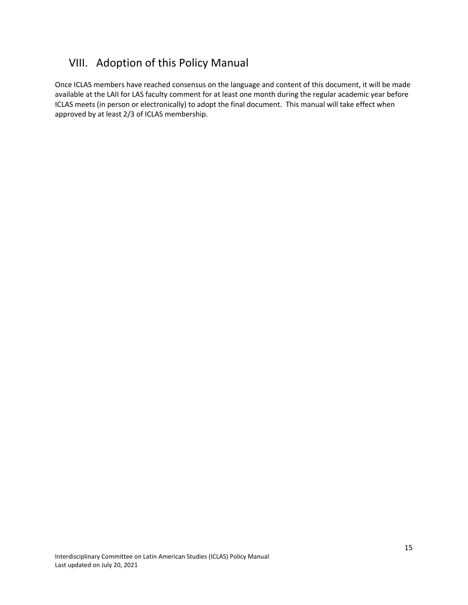## <span id="page-14-0"></span>VIII. Adoption of this Policy Manual

Once ICLAS members have reached consensus on the language and content of this document, it will be made available at the LAII for LAS faculty comment for at least one month during the regular academic year before ICLAS meets (in person or electronically) to adopt the final document. This manual will take effect when approved by at least 2/3 of ICLAS membership.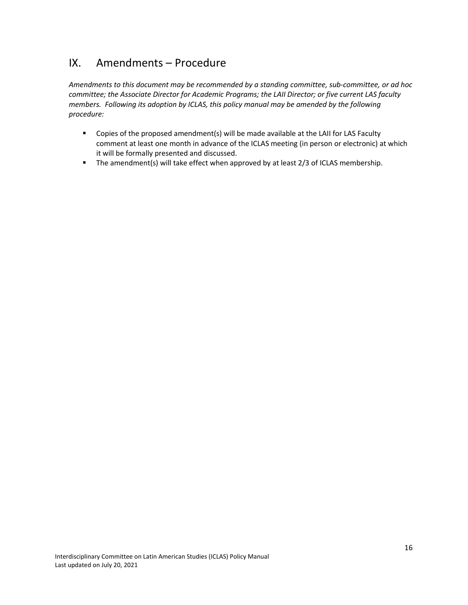## <span id="page-15-0"></span>IX. Amendments – Procedure

*Amendments to this document may be recommended by a standing committee, sub-committee, or ad hoc committee; the Associate Director for Academic Programs; the LAII Director; or five current LAS faculty members. Following its adoption by ICLAS, this policy manual may be amended by the following procedure:*

- Copies of the proposed amendment(s) will be made available at the LAII for LAS Faculty comment at least one month in advance of the ICLAS meeting (in person or electronic) at which it will be formally presented and discussed.
- **•** The amendment(s) will take effect when approved by at least 2/3 of ICLAS membership.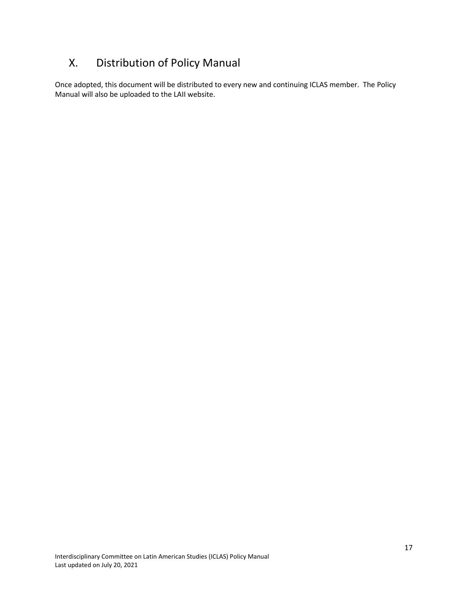## <span id="page-16-0"></span>X. Distribution of Policy Manual

Once adopted, this document will be distributed to every new and continuing ICLAS member. The Policy Manual will also be uploaded to the LAII website.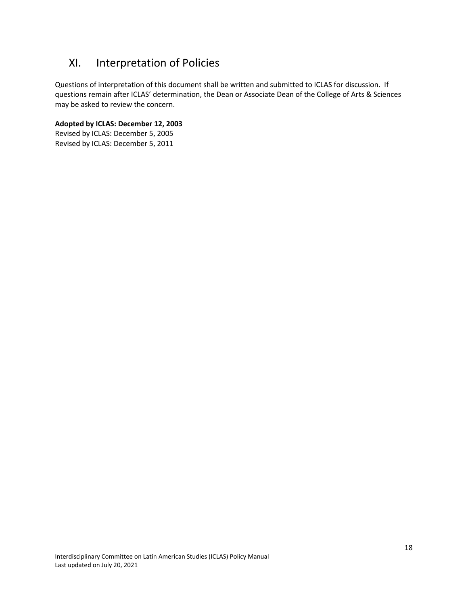## <span id="page-17-0"></span>XI. Interpretation of Policies

Questions of interpretation of this document shall be written and submitted to ICLAS for discussion. If questions remain after ICLAS' determination, the Dean or Associate Dean of the College of Arts & Sciences may be asked to review the concern.

**Adopted by ICLAS: December 12, 2003**

Revised by ICLAS: December 5, 2005 Revised by ICLAS: December 5, 2011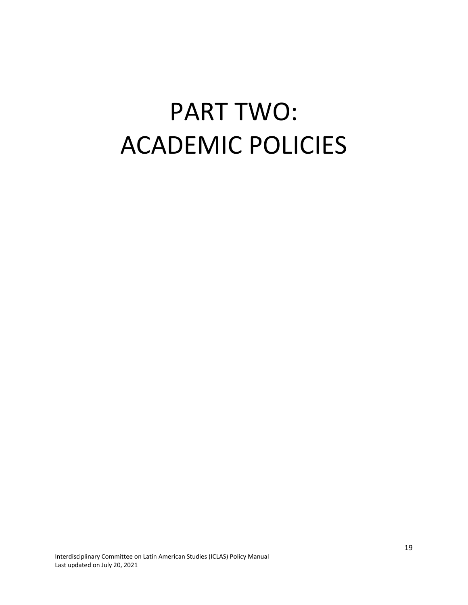# <span id="page-18-0"></span>PART TWO: ACADEMIC POLICIES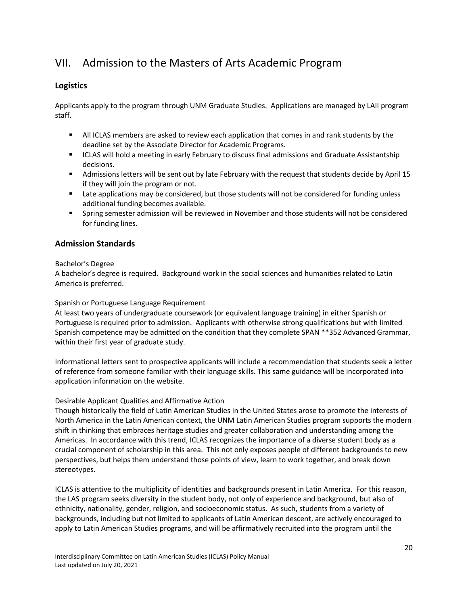## <span id="page-19-0"></span>VII. Admission to the Masters of Arts Academic Program

#### <span id="page-19-1"></span>**Logistics**

Applicants apply to the program through UNM Graduate Studies. Applications are managed by LAII program staff.

- **EXECT All ICLAS members are asked to review each application that comes in and rank students by the** deadline set by the Associate Director for Academic Programs.
- **■** ICLAS will hold a meeting in early February to discuss final admissions and Graduate Assistantship decisions.
- Admissions letters will be sent out by late February with the request that students decide by April 15 if they will join the program or not.
- Late applications may be considered, but those students will not be considered for funding unless additional funding becomes available.
- **•** Spring semester admission will be reviewed in November and those students will not be considered for funding lines.

#### <span id="page-19-2"></span>**Admission Standards**

#### <span id="page-19-3"></span>Bachelor's Degree

A bachelor's degree is required. Background work in the social sciences and humanities related to Latin America is preferred.

#### <span id="page-19-4"></span>Spanish or Portuguese Language Requirement

At least two years of undergraduate coursework (or equivalent language training) in either Spanish or Portuguese is required prior to admission. Applicants with otherwise strong qualifications but with limited Spanish competence may be admitted on the condition that they complete SPAN \*\*352 Advanced Grammar, within their first year of graduate study.

Informational letters sent to prospective applicants will include a recommendation that students seek a letter of reference from someone familiar with their language skills. This same guidance will be incorporated into application information on the website.

#### <span id="page-19-5"></span>Desirable Applicant Qualities and Affirmative Action

Though historically the field of Latin American Studies in the United States arose to promote the interests of North America in the Latin American context, the UNM Latin American Studies program supports the modern shift in thinking that embraces heritage studies and greater collaboration and understanding among the Americas. In accordance with this trend, ICLAS recognizes the importance of a diverse student body as a crucial component of scholarship in this area. This not only exposes people of different backgrounds to new perspectives, but helps them understand those points of view, learn to work together, and break down stereotypes.

ICLAS is attentive to the multiplicity of identities and backgrounds present in Latin America. For this reason, the LAS program seeks diversity in the student body, not only of experience and background, but also of ethnicity, nationality, gender, religion, and socioeconomic status. As such, students from a variety of backgrounds, including but not limited to applicants of Latin American descent, are actively encouraged to apply to Latin American Studies programs, and will be affirmatively recruited into the program until the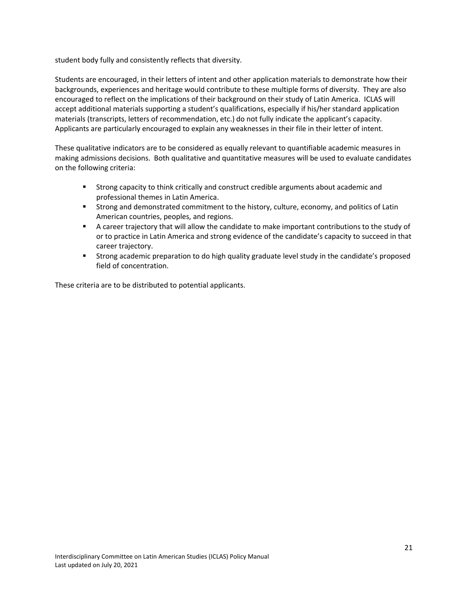student body fully and consistently reflects that diversity.

Students are encouraged, in their letters of intent and other application materials to demonstrate how their backgrounds, experiences and heritage would contribute to these multiple forms of diversity. They are also encouraged to reflect on the implications of their background on their study of Latin America. ICLAS will accept additional materials supporting a student's qualifications, especially if his/her standard application materials (transcripts, letters of recommendation, etc.) do not fully indicate the applicant's capacity. Applicants are particularly encouraged to explain any weaknesses in their file in their letter of intent.

These qualitative indicators are to be considered as equally relevant to quantifiable academic measures in making admissions decisions. Both qualitative and quantitative measures will be used to evaluate candidates on the following criteria:

- Strong capacity to think critically and construct credible arguments about academic and professional themes in Latin America.
- **EXECT** Strong and demonstrated commitment to the history, culture, economy, and politics of Latin American countries, peoples, and regions.
- A career trajectory that will allow the candidate to make important contributions to the study of or to practice in Latin America and strong evidence of the candidate's capacity to succeed in that career trajectory.
- **EXECT** Strong academic preparation to do high quality graduate level study in the candidate's proposed field of concentration.

These criteria are to be distributed to potential applicants.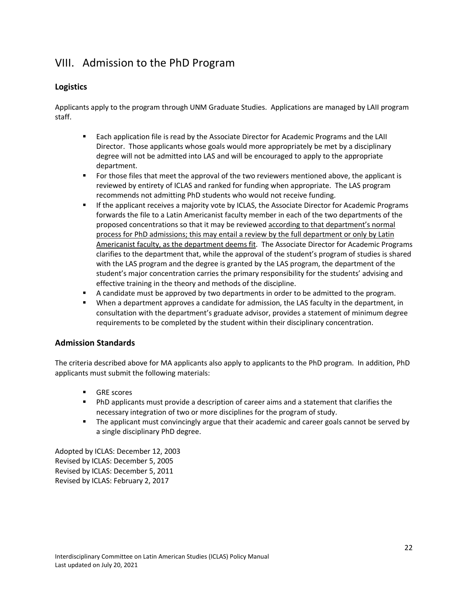## <span id="page-21-0"></span>VIII. Admission to the PhD Program

#### <span id="page-21-1"></span>**Logistics**

Applicants apply to the program through UNM Graduate Studies. Applications are managed by LAII program staff.

- **Each application file is read by the Associate Director for Academic Programs and the LAII** Director. Those applicants whose goals would more appropriately be met by a disciplinary degree will not be admitted into LAS and will be encouraged to apply to the appropriate department.
- **•** For those files that meet the approval of the two reviewers mentioned above, the applicant is reviewed by entirety of ICLAS and ranked for funding when appropriate. The LAS program recommends not admitting PhD students who would not receive funding.
- **EXPLEM** If the applicant receives a majority vote by ICLAS, the Associate Director for Academic Programs forwards the file to a Latin Americanist faculty member in each of the two departments of the proposed concentrations so that it may be reviewed according to that department's normal process for PhD admissions; this may entail a review by the full department or only by Latin Americanist faculty, as the department deems fit. The Associate Director for Academic Programs clarifies to the department that, while the approval of the student's program of studies is shared with the LAS program and the degree is granted by the LAS program, the department of the student's major concentration carries the primary responsibility for the students' advising and effective training in the theory and methods of the discipline.
- A candidate must be approved by two departments in order to be admitted to the program.
- **■** When a department approves a candidate for admission, the LAS faculty in the department, in consultation with the department's graduate advisor, provides a statement of minimum degree requirements to be completed by the student within their disciplinary concentration.

#### <span id="page-21-2"></span>**Admission Standards**

The criteria described above for MA applicants also apply to applicants to the PhD program. In addition, PhD applicants must submit the following materials:

- GRE scores
- **PhD applicants must provide a description of career aims and a statement that clarifies the** necessary integration of two or more disciplines for the program of study.
- **•** The applicant must convincingly argue that their academic and career goals cannot be served by a single disciplinary PhD degree.

Adopted by ICLAS: December 12, 2003 Revised by ICLAS: December 5, 2005 Revised by ICLAS: December 5, 2011 Revised by ICLAS: February 2, 2017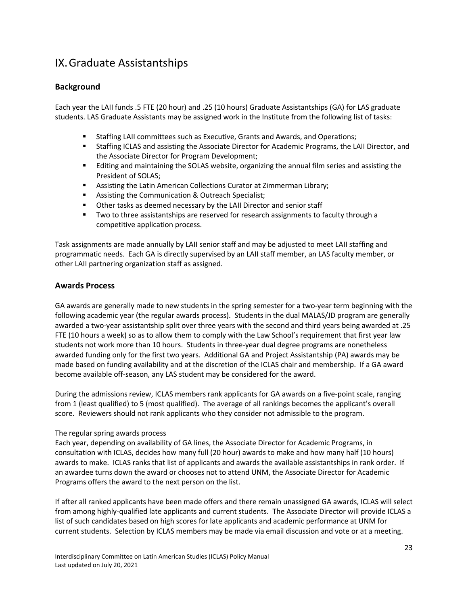## <span id="page-22-0"></span>IX.Graduate Assistantships

#### <span id="page-22-1"></span>**Background**

Each year the LAII funds .5 FTE (20 hour) and .25 (10 hours) Graduate Assistantships (GA) for LAS graduate students. LAS Graduate Assistants may be assigned work in the Institute from the following list of tasks:

- Staffing LAII committees such as Executive, Grants and Awards, and Operations;
- **■** Staffing ICLAS and assisting the Associate Director for Academic Programs, the LAII Director, and the Associate Director for Program Development;
- Editing and maintaining the SOLAS website, organizing the annual film series and assisting the President of SOLAS;
- Assisting the Latin American Collections Curator at Zimmerman Library;
- Assisting the Communication & Outreach Specialist;
- Other tasks as deemed necessary by the LAII Director and senior staff
- **■** Two to three assistantships are reserved for research assignments to faculty through a competitive application process.

Task assignments are made annually by LAII senior staff and may be adjusted to meet LAII staffing and programmatic needs. Each GA is directly supervised by an LAII staff member, an LAS faculty member, or other LAII partnering organization staff as assigned.

#### <span id="page-22-2"></span>**Awards Process**

GA awards are generally made to new students in the spring semester for a two-year term beginning with the following academic year (the regular awards process). Students in the dual MALAS/JD program are generally awarded a two-year assistantship split over three years with the second and third years being awarded at .25 FTE (10 hours a week) so as to allow them to comply with the Law School's requirement that first year law students not work more than 10 hours. Students in three-year dual degree programs are nonetheless awarded funding only for the first two years. Additional GA and Project Assistantship (PA) awards may be made based on funding availability and at the discretion of the ICLAS chair and membership. If a GA award become available off-season, any LAS student may be considered for the award.

During the admissions review, ICLAS members rank applicants for GA awards on a five-point scale, ranging from 1 (least qualified) to 5 (most qualified). The average of all rankings becomes the applicant's overall score. Reviewers should not rank applicants who they consider not admissible to the program.

#### <span id="page-22-3"></span>The regular spring awards process

Each year, depending on availability of GA lines, the Associate Director for Academic Programs, in consultation with ICLAS, decides how many full (20 hour) awards to make and how many half (10 hours) awards to make. ICLAS ranks that list of applicants and awards the available assistantships in rank order. If an awardee turns down the award or chooses not to attend UNM, the Associate Director for Academic Programs offers the award to the next person on the list.

If after all ranked applicants have been made offers and there remain unassigned GA awards, ICLAS will select from among highly-qualified late applicants and current students. The Associate Director will provide ICLAS a list of such candidates based on high scores for late applicants and academic performance at UNM for current students. Selection by ICLAS members may be made via email discussion and vote or at a meeting.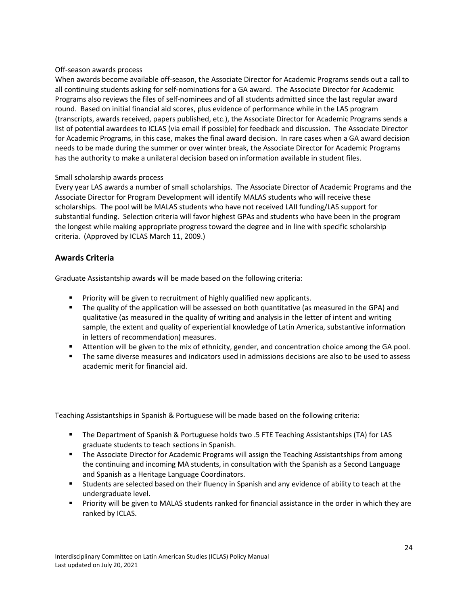#### <span id="page-23-0"></span>Off-season awards process

When awards become available off-season, the Associate Director for Academic Programs sends out a call to all continuing students asking for self-nominations for a GA award. The Associate Director for Academic Programs also reviews the files of self-nominees and of all students admitted since the last regular award round. Based on initial financial aid scores, plus evidence of performance while in the LAS program (transcripts, awards received, papers published, etc.), the Associate Director for Academic Programs sends a list of potential awardees to ICLAS (via email if possible) for feedback and discussion. The Associate Director for Academic Programs, in this case, makes the final award decision. In rare cases when a GA award decision needs to be made during the summer or over winter break, the Associate Director for Academic Programs has the authority to make a unilateral decision based on information available in student files.

#### <span id="page-23-1"></span>Small scholarship awards process

Every year LAS awards a number of small scholarships. The Associate Director of Academic Programs and the Associate Director for Program Development will identify MALAS students who will receive these scholarships. The pool will be MALAS students who have not received LAII funding/LAS support for substantial funding. Selection criteria will favor highest GPAs and students who have been in the program the longest while making appropriate progress toward the degree and in line with specific scholarship criteria. (Approved by ICLAS March 11, 2009.)

#### <span id="page-23-2"></span>**Awards Criteria**

Graduate Assistantship awards will be made based on the following criteria:

- Priority will be given to recruitment of highly qualified new applicants.
- **■** The quality of the application will be assessed on both quantitative (as measured in the GPA) and qualitative (as measured in the quality of writing and analysis in the letter of intent and writing sample, the extent and quality of experiential knowledge of Latin America, substantive information in letters of recommendation) measures.
- Attention will be given to the mix of ethnicity, gender, and concentration choice among the GA pool.
- The same diverse measures and indicators used in admissions decisions are also to be used to assess academic merit for financial aid.

Teaching Assistantships in Spanish & Portuguese will be made based on the following criteria:

- The Department of Spanish & Portuguese holds two .5 FTE Teaching Assistantships (TA) for LAS graduate students to teach sections in Spanish.
- **The Associate Director for Academic Programs will assign the Teaching Assistantships from among** the continuing and incoming MA students, in consultation with the Spanish as a Second Language and Spanish as a Heritage Language Coordinators.
- Students are selected based on their fluency in Spanish and any evidence of ability to teach at the undergraduate level.
- Priority will be given to MALAS students ranked for financial assistance in the order in which they are ranked by ICLAS.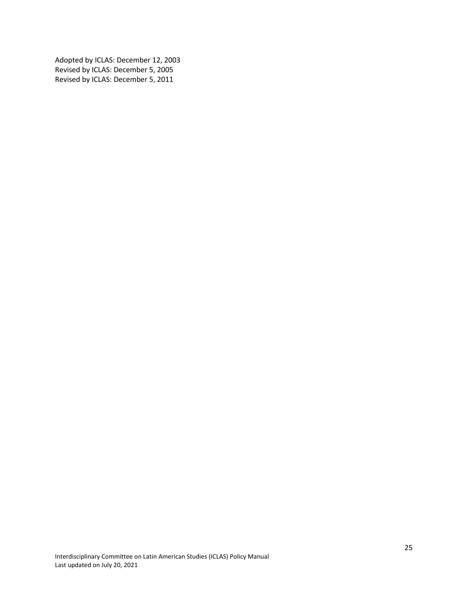Adopted by ICLAS: December 12, 2003 Revised by ICLAS: December 5, 2005 Revised by ICLAS: December 5, 2011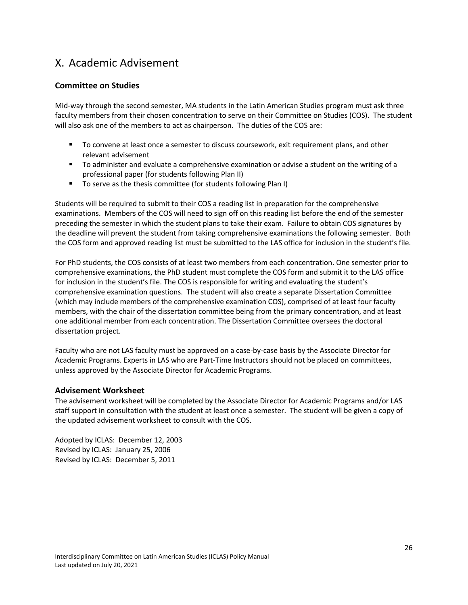## <span id="page-25-0"></span>X. Academic Advisement

#### <span id="page-25-1"></span>**Committee on Studies**

Mid-way through the second semester, MA students in the Latin American Studies program must ask three faculty members from their chosen concentration to serve on their Committee on Studies (COS). The student will also ask one of the members to act as chairperson. The duties of the COS are:

- To convene at least once a semester to discuss coursework, exit requirement plans, and other relevant advisement
- To administer and evaluate a comprehensive examination or advise a student on the writing of a professional paper (for students following Plan II)
- To serve as the thesis committee (for students following Plan I)

Students will be required to submit to their COS a reading list in preparation for the comprehensive examinations. Members of the COS will need to sign off on this reading list before the end of the semester preceding the semester in which the student plans to take their exam. Failure to obtain COS signatures by the deadline will prevent the student from taking comprehensive examinations the following semester. Both the COS form and approved reading list must be submitted to the LAS office for inclusion in the student's file.

For PhD students, the COS consists of at least two members from each concentration. One semester prior to comprehensive examinations, the PhD student must complete the COS form and submit it to the LAS office for inclusion in the student's file. The COS is responsible for writing and evaluating the student's comprehensive examination questions. The student will also create a separate Dissertation Committee (which may include members of the comprehensive examination COS), comprised of at least four faculty members, with the chair of the dissertation committee being from the primary concentration, and at least one additional member from each concentration. The Dissertation Committee oversees the doctoral dissertation project.

Faculty who are not LAS faculty must be approved on a case-by-case basis by the Associate Director for Academic Programs. Experts in LAS who are Part-Time Instructors should not be placed on committees, unless approved by the Associate Director for Academic Programs.

#### <span id="page-25-2"></span>**Advisement Worksheet**

The advisement worksheet will be completed by the Associate Director for Academic Programs and/or LAS staff support in consultation with the student at least once a semester. The student will be given a copy of the updated advisement worksheet to consult with the COS.

Adopted by ICLAS: December 12, 2003 Revised by ICLAS: January 25, 2006 Revised by ICLAS: December 5, 2011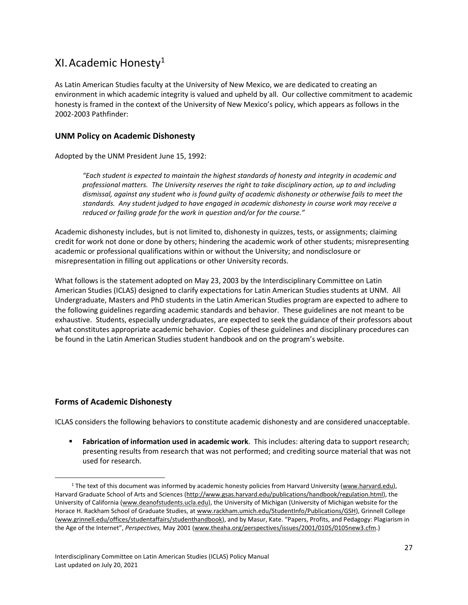## <span id="page-26-0"></span>XI.Academic Honesty<sup>1</sup>

As Latin American Studies faculty at the University of New Mexico, we are dedicated to creating an environment in which academic integrity is valued and upheld by all. Our collective commitment to academic honesty is framed in the context of the University of New Mexico's policy, which appears as follows in the 2002-2003 Pathfinder:

#### <span id="page-26-1"></span>**UNM Policy on Academic Dishonesty**

Adopted by the UNM President June 15, 1992:

*"Each student is expected to maintain the highest standards of honesty and integrity in academic and professional matters. The University reserves the right to take disciplinary action, up to and including dismissal, against any student who is found guilty of academic dishonesty or otherwise fails to meet the standards. Any student judged to have engaged in academic dishonesty in course work may receive a reduced or failing grade for the work in question and/or for the course."*

Academic dishonesty includes, but is not limited to, dishonesty in quizzes, tests, or assignments; claiming credit for work not done or done by others; hindering the academic work of other students; misrepresenting academic or professional qualifications within or without the University; and nondisclosure or misrepresentation in filling out applications or other University records.

What follows is the statement adopted on May 23, 2003 by the Interdisciplinary Committee on Latin American Studies (ICLAS) designed to clarify expectations for Latin American Studies students at UNM. All Undergraduate, Masters and PhD students in the Latin American Studies program are expected to adhere to the following guidelines regarding academic standards and behavior. These guidelines are not meant to be exhaustive. Students, especially undergraduates, are expected to seek the guidance of their professors about what constitutes appropriate academic behavior. Copies of these guidelines and disciplinary procedures can be found in the Latin American Studies student handbook and on the program's website.

#### <span id="page-26-2"></span>**Forms of Academic Dishonesty**

 $\overline{a}$ 

ICLAS considers the following behaviors to constitute academic dishonesty and are considered unacceptable.

**EXED Fabrication of information used in academic work**. This includes: altering data to support research; presenting results from research that was not performed; and crediting source material that was not used for research.

<sup>&</sup>lt;sup>1</sup> The text of this document was informed by academic honesty policies from Harvard University [\(www.harvard.edu\)](http://www.harvard.edu/), Harvard Graduate School of Arts and Sciences [\(http://www.gsas.harvard.edu/publications/handbook/regulation.html\)](http://www.gsas.harvard.edu/publications/handbook/regulation.html), the University of California [\(www.deanofstudents.ucla.edu\)](http://www.deanofstudents.ucla.edu/), the University of Michigan (University of Michigan website for the Horace H. Rackham School of Graduate Studies, at [www.rackham.umich.edu/StudentInfo/Publications/GSH\)](http://www.rackham.umich.edu/StudentInfo/Publications/GSH), Grinnell College [\(www.grinnell.edu/offices/studentaffairs/studenthandbook](http://www.grinnell.edu/offices/studentaffairs/studenthandbook)), and by Masur, Kate. "Papers, Profits, and Pedagogy: Plagiarism in the Age of the Internet", *Perspectives,* May 2001 [\(www.theaha.org/perspectives/issues/2001/0105/0105new3.cfm.](http://www.theaha.org/perspectives/issues/2001/0105/0105new3.cfm))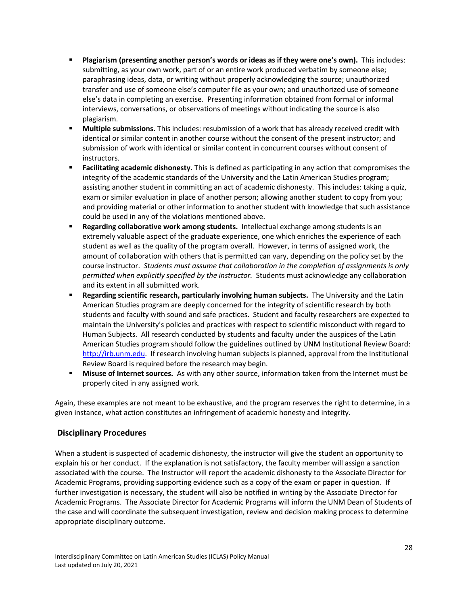- **Plagiarism (presenting another person's words or ideas as if they were one's own).** This includes: submitting, as your own work, part of or an entire work produced verbatim by someone else; paraphrasing ideas, data, or writing without properly acknowledging the source; unauthorized transfer and use of someone else's computer file as your own; and unauthorized use of someone else's data in completing an exercise. Presenting information obtained from formal or informal interviews, conversations, or observations of meetings without indicating the source is also plagiarism.
- **Multiple submissions.** This includes: resubmission of a work that has already received credit with identical or similar content in another course without the consent of the present instructor; and submission of work with identical or similar content in concurrent courses without consent of instructors.
- **Facilitating academic dishonesty.** This is defined as participating in any action that compromises the integrity of the academic standards of the University and the Latin American Studies program; assisting another student in committing an act of academic dishonesty. This includes: taking a quiz, exam or similar evaluation in place of another person; allowing another student to copy from you; and providing material or other information to another student with knowledge that such assistance could be used in any of the violations mentioned above.
- Regarding collaborative work among students. Intellectual exchange among students is an extremely valuable aspect of the graduate experience, one which enriches the experience of each student as well as the quality of the program overall. However, in terms of assigned work, the amount of collaboration with others that is permitted can vary, depending on the policy set by the course instructor. *Students must assume that collaboration in the completion of assignments is only permitted when explicitly specified by the instructor.* Students must acknowledge any collaboration and its extent in all submitted work.
- **EXECT Are EXECT EXECT FIGHT SCIENTIFY INDUST FIGURE IS A SET INVERTED SETABLE IN EXECT IN EXECT FIGURE 1** And the Latin American Studies program are deeply concerned for the integrity of scientific research by both students and faculty with sound and safe practices. Student and faculty researchers are expected to maintain the University's policies and practices with respect to scientific misconduct with regard to Human Subjects. All research conducted by students and faculty under the auspices of the Latin American Studies program should follow the guidelines outlined by UNM Institutional Review Board: [http://irb.unm.edu.](http://irb.unm.edu/) If research involving human subjects is planned, approval from the Institutional Review Board is required before the research may begin.
- **EXECT** Misuse of Internet sources. As with any other source, information taken from the Internet must be properly cited in any assigned work.

Again, these examples are not meant to be exhaustive, and the program reserves the right to determine, in a given instance, what action constitutes an infringement of academic honesty and integrity.

#### <span id="page-27-0"></span>**Disciplinary Procedures**

When a student is suspected of academic dishonesty, the instructor will give the student an opportunity to explain his or her conduct. If the explanation is not satisfactory, the faculty member will assign a sanction associated with the course. The Instructor will report the academic dishonesty to the Associate Director for Academic Programs, providing supporting evidence such as a copy of the exam or paper in question. If further investigation is necessary, the student will also be notified in writing by the Associate Director for Academic Programs. The Associate Director for Academic Programs will inform the UNM Dean of Students of the case and will coordinate the subsequent investigation, review and decision making process to determine appropriate disciplinary outcome.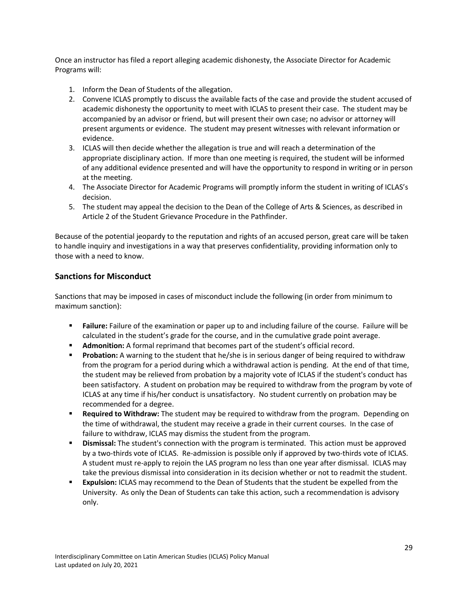Once an instructor has filed a report alleging academic dishonesty, the Associate Director for Academic Programs will:

- 1. Inform the Dean of Students of the allegation.
- 2. Convene ICLAS promptly to discuss the available facts of the case and provide the student accused of academic dishonesty the opportunity to meet with ICLAS to present their case. The student may be accompanied by an advisor or friend, but will present their own case; no advisor or attorney will present arguments or evidence. The student may present witnesses with relevant information or evidence.
- 3. ICLAS will then decide whether the allegation is true and will reach a determination of the appropriate disciplinary action. If more than one meeting is required, the student will be informed of any additional evidence presented and will have the opportunity to respond in writing or in person at the meeting.
- 4. The Associate Director for Academic Programs will promptly inform the student in writing of ICLAS's decision.
- 5. The student may appeal the decision to the Dean of the College of Arts & Sciences, as described in Article 2 of the Student Grievance Procedure in the Pathfinder.

Because of the potential jeopardy to the reputation and rights of an accused person, great care will be taken to handle inquiry and investigations in a way that preserves confidentiality, providing information only to those with a need to know.

#### <span id="page-28-0"></span>**Sanctions for Misconduct**

Sanctions that may be imposed in cases of misconduct include the following (in order from minimum to maximum sanction):

- **Example:** Failure: Failure of the examination or paper up to and including failure of the course. Failure will be calculated in the student's grade for the course, and in the cumulative grade point average.
- **EXECT** Admonition: A formal reprimand that becomes part of the student's official record.
- **Probation:** A warning to the student that he/she is in serious danger of being required to withdraw from the program for a period during which a withdrawal action is pending. At the end of that time, the student may be relieved from probation by a majority vote of ICLAS if the student's conduct has been satisfactory. A student on probation may be required to withdraw from the program by vote of ICLAS at any time if his/her conduct is unsatisfactory. No student currently on probation may be recommended for a degree.
- **EXEQUITED IN A Required to Withdraw:** The student may be required to withdraw from the program. Depending on the time of withdrawal, the student may receive a grade in their current courses. In the case of failure to withdraw, ICLAS may dismiss the student from the program.
- **EXED IS Dismissal:** The student's connection with the program is terminated. This action must be approved by a two-thirds vote of ICLAS. Re-admission is possible only if approved by two-thirds vote of ICLAS. A student must re-apply to rejoin the LAS program no less than one year after dismissal. ICLAS may take the previous dismissal into consideration in its decision whether or not to readmit the student.
- **Expulsion:** ICLAS may recommend to the Dean of Students that the student be expelled from the University. As only the Dean of Students can take this action, such a recommendation is advisory only.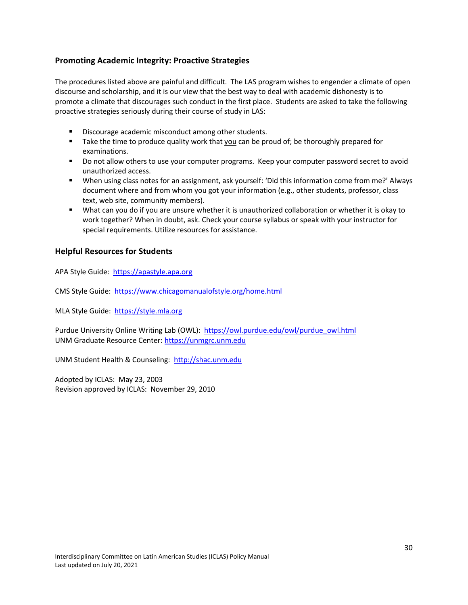#### <span id="page-29-0"></span>**Promoting Academic Integrity: Proactive Strategies**

The procedures listed above are painful and difficult. The LAS program wishes to engender a climate of open discourse and scholarship, and it is our view that the best way to deal with academic dishonesty is to promote a climate that discourages such conduct in the first place. Students are asked to take the following proactive strategies seriously during their course of study in LAS:

- Discourage academic misconduct among other students.
- Take the time to produce quality work that you can be proud of; be thoroughly prepared for examinations.
- Do not allow others to use your computer programs. Keep your computer password secret to avoid unauthorized access.
- When using class notes for an assignment, ask yourself: 'Did this information come from me?' Always document where and from whom you got your information (e.g., other students, professor, class text, web site, community members).
- What can you do if you are unsure whether it is unauthorized collaboration or whether it is okay to work together? When in doubt, ask. Check your course syllabus or speak with your instructor for special requirements. Utilize resources for assistance.

#### <span id="page-29-1"></span>**Helpful Resources for Students**

APA Style Guide: [https://apastyle.apa.org](https://apastyle.apa.org/)

CMS Style Guide:<https://www.chicagomanualofstyle.org/home.html>

MLA Style Guide: [https://style.mla.org](https://style.mla.org/)

Purdue University Online Writing Lab (OWL): [https://owl.purdue.edu/owl/purdue\\_owl.html](https://owl.purdue.edu/owl/purdue_owl.html) UNM Graduate Resource Center: [https://unmgrc.unm.edu](https://unmgrc.unm.edu/)

UNM Student Health & Counseling: [http://shac.unm.edu](http://shac.unm.edu/)

Adopted by ICLAS: May 23, 2003 Revision approved by ICLAS: November 29, 2010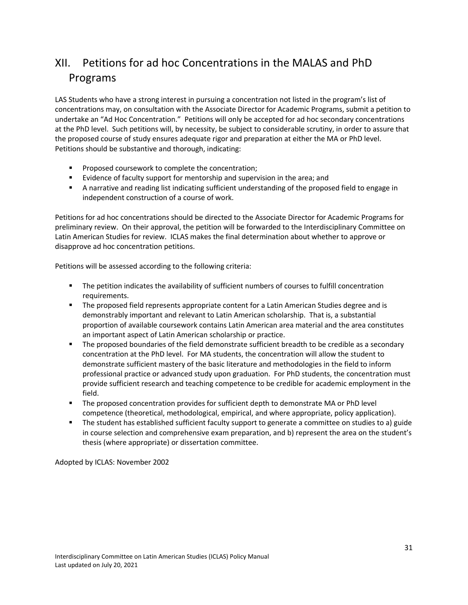## <span id="page-30-0"></span>XII. Petitions for ad hoc Concentrations in the MALAS and PhD Programs

LAS Students who have a strong interest in pursuing a concentration not listed in the program's list of concentrations may, on consultation with the Associate Director for Academic Programs, submit a petition to undertake an "Ad Hoc Concentration." Petitions will only be accepted for ad hoc secondary concentrations at the PhD level. Such petitions will, by necessity, be subject to considerable scrutiny, in order to assure that the proposed course of study ensures adequate rigor and preparation at either the MA or PhD level. Petitions should be substantive and thorough, indicating:

- Proposed coursework to complete the concentration;
- Evidence of faculty support for mentorship and supervision in the area; and
- A narrative and reading list indicating sufficient understanding of the proposed field to engage in independent construction of a course of work.

Petitions for ad hoc concentrations should be directed to the Associate Director for Academic Programs for preliminary review. On their approval, the petition will be forwarded to the Interdisciplinary Committee on Latin American Studies for review. ICLAS makes the final determination about whether to approve or disapprove ad hoc concentration petitions.

Petitions will be assessed according to the following criteria:

- The petition indicates the availability of sufficient numbers of courses to fulfill concentration requirements.
- The proposed field represents appropriate content for a Latin American Studies degree and is demonstrably important and relevant to Latin American scholarship. That is, a substantial proportion of available coursework contains Latin American area material and the area constitutes an important aspect of Latin American scholarship or practice.
- The proposed boundaries of the field demonstrate sufficient breadth to be credible as a secondary concentration at the PhD level. For MA students, the concentration will allow the student to demonstrate sufficient mastery of the basic literature and methodologies in the field to inform professional practice or advanced study upon graduation. For PhD students, the concentration must provide sufficient research and teaching competence to be credible for academic employment in the field.
- The proposed concentration provides for sufficient depth to demonstrate MA or PhD level competence (theoretical, methodological, empirical, and where appropriate, policy application).
- The student has established sufficient faculty support to generate a committee on studies to a) guide in course selection and comprehensive exam preparation, and b) represent the area on the student's thesis (where appropriate) or dissertation committee.

Adopted by ICLAS: November 2002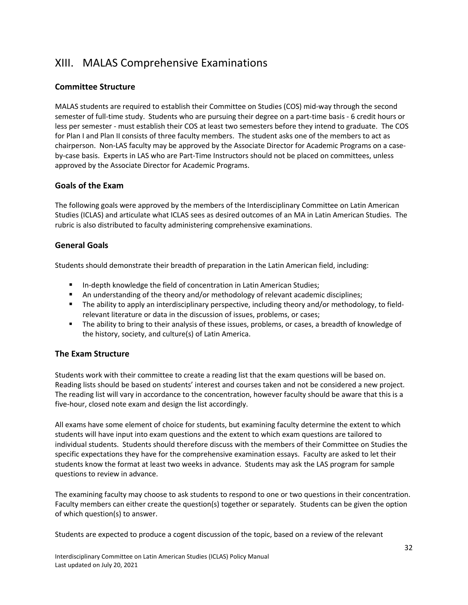## <span id="page-31-0"></span>XIII. MALAS Comprehensive Examinations

#### <span id="page-31-1"></span>**Committee Structure**

MALAS students are required to establish their Committee on Studies (COS) mid-way through the second semester of full-time study. Students who are pursuing their degree on a part-time basis - 6 credit hours or less per semester - must establish their COS at least two semesters before they intend to graduate. The COS for Plan I and Plan II consists of three faculty members. The student asks one of the members to act as chairperson. Non-LAS faculty may be approved by the Associate Director for Academic Programs on a caseby-case basis. Experts in LAS who are Part-Time Instructors should not be placed on committees, unless approved by the Associate Director for Academic Programs.

#### <span id="page-31-2"></span>**Goals of the Exam**

The following goals were approved by the members of the Interdisciplinary Committee on Latin American Studies (ICLAS) and articulate what ICLAS sees as desired outcomes of an MA in Latin American Studies. The rubric is also distributed to faculty administering comprehensive examinations.

#### <span id="page-31-3"></span>**General Goals**

Students should demonstrate their breadth of preparation in the Latin American field, including:

- In-depth knowledge the field of concentration in Latin American Studies;
- An understanding of the theory and/or methodology of relevant academic disciplines;
- The ability to apply an interdisciplinary perspective, including theory and/or methodology, to fieldrelevant literature or data in the discussion of issues, problems, or cases;
- The ability to bring to their analysis of these issues, problems, or cases, a breadth of knowledge of the history, society, and culture(s) of Latin America.

#### <span id="page-31-4"></span>**The Exam Structure**

Students work with their committee to create a reading list that the exam questions will be based on. Reading lists should be based on students' interest and courses taken and not be considered a new project. The reading list will vary in accordance to the concentration, however faculty should be aware that this is a five-hour, closed note exam and design the list accordingly.

All exams have some element of choice for students, but examining faculty determine the extent to which students will have input into exam questions and the extent to which exam questions are tailored to individual students. Students should therefore discuss with the members of their Committee on Studies the specific expectations they have for the comprehensive examination essays. Faculty are asked to let their students know the format at least two weeks in advance. Students may ask the LAS program for sample questions to review in advance.

The examining faculty may choose to ask students to respond to one or two questions in their concentration. Faculty members can either create the question(s) together or separately. Students can be given the option of which question(s) to answer.

Students are expected to produce a cogent discussion of the topic, based on a review of the relevant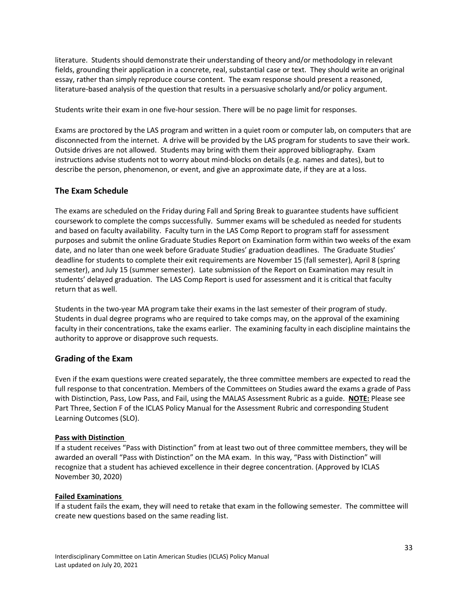literature. Students should demonstrate their understanding of theory and/or methodology in relevant fields, grounding their application in a concrete, real, substantial case or text. They should write an original essay, rather than simply reproduce course content. The exam response should present a reasoned, literature-based analysis of the question that results in a persuasive scholarly and/or policy argument.

Students write their exam in one five-hour session. There will be no page limit for responses.

Exams are proctored by the LAS program and written in a quiet room or computer lab, on computers that are disconnected from the internet. A drive will be provided by the LAS program for students to save their work. Outside drives are not allowed. Students may bring with them their approved bibliography. Exam instructions advise students not to worry about mind-blocks on details (e.g. names and dates), but to describe the person, phenomenon, or event, and give an approximate date, if they are at a loss.

#### <span id="page-32-0"></span>**The Exam Schedule**

The exams are scheduled on the Friday during Fall and Spring Break to guarantee students have sufficient coursework to complete the comps successfully. Summer exams will be scheduled as needed for students and based on faculty availability. Faculty turn in the LAS Comp Report to program staff for assessment purposes and submit the online Graduate Studies Report on Examination form within two weeks of the exam date, and no later than one week before Graduate Studies' graduation deadlines. The Graduate Studies' deadline for students to complete their exit requirements are November 15 (fall semester), April 8 (spring semester), and July 15 (summer semester). Late submission of the Report on Examination may result in students' delayed graduation. The LAS Comp Report is used for assessment and it is critical that faculty return that as well.

Students in the two-year MA program take their exams in the last semester of their program of study. Students in dual degree programs who are required to take comps may, on the approval of the examining faculty in their concentrations, take the exams earlier. The examining faculty in each discipline maintains the authority to approve or disapprove such requests.

#### <span id="page-32-1"></span>**Grading of the Exam**

Even if the exam questions were created separately, the three committee members are expected to read the full response to that concentration. Members of the Committees on Studies award the exams a grade of Pass with Distinction, Pass, Low Pass, and Fail, using the MALAS Assessment Rubric as a guide. **NOTE:** Please see Part Three, Section F of the ICLAS Policy Manual for the Assessment Rubric and corresponding Student Learning Outcomes (SLO).

#### **Pass with Distinction**

If a student receives "Pass with Distinction" from at least two out of three committee members, they will be awarded an overall "Pass with Distinction" on the MA exam. In this way, "Pass with Distinction" will recognize that a student has achieved excellence in their degree concentration. (Approved by ICLAS November 30, 2020)

#### **Failed Examinations**

If a student fails the exam, they will need to retake that exam in the following semester. The committee will create new questions based on the same reading list.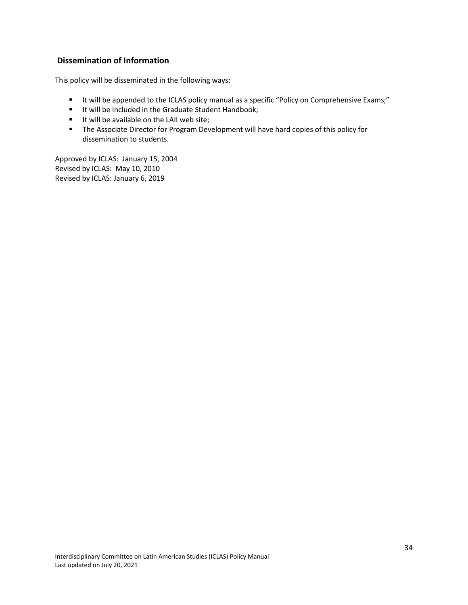#### <span id="page-33-0"></span>**Dissemination of Information**

This policy will be disseminated in the following ways:

- It will be appended to the ICLAS policy manual as a specific "Policy on Comprehensive Exams;"
- It will be included in the Graduate Student Handbook;
- It will be available on the LAII web site:
- **■** The Associate Director for Program Development will have hard copies of this policy for dissemination to students.

Approved by ICLAS: January 15, 2004 Revised by ICLAS: May 10, 2010 Revised by ICLAS: January 6, 2019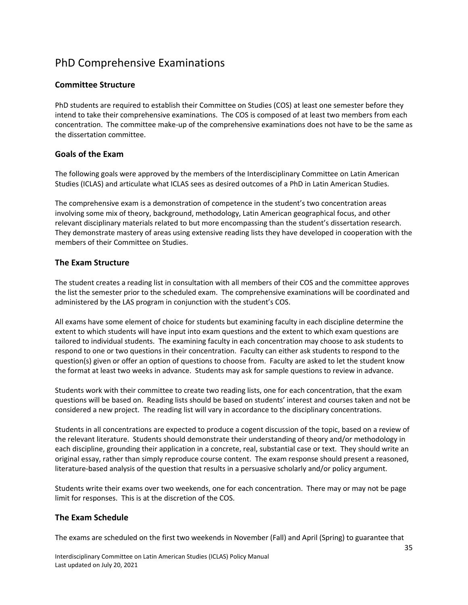## <span id="page-34-0"></span>PhD Comprehensive Examinations

#### <span id="page-34-1"></span>**Committee Structure**

PhD students are required to establish their Committee on Studies (COS) at least one semester before they intend to take their comprehensive examinations. The COS is composed of at least two members from each concentration. The committee make-up of the comprehensive examinations does not have to be the same as the dissertation committee.

#### <span id="page-34-2"></span>**Goals of the Exam**

The following goals were approved by the members of the Interdisciplinary Committee on Latin American Studies (ICLAS) and articulate what ICLAS sees as desired outcomes of a PhD in Latin American Studies.

The comprehensive exam is a demonstration of competence in the student's two concentration areas involving some mix of theory, background, methodology, Latin American geographical focus, and other relevant disciplinary materials related to but more encompassing than the student's dissertation research. They demonstrate mastery of areas using extensive reading lists they have developed in cooperation with the members of their Committee on Studies.

#### <span id="page-34-3"></span>**The Exam Structure**

The student creates a reading list in consultation with all members of their COS and the committee approves the list the semester prior to the scheduled exam. The comprehensive examinations will be coordinated and administered by the LAS program in conjunction with the student's COS.

All exams have some element of choice for students but examining faculty in each discipline determine the extent to which students will have input into exam questions and the extent to which exam questions are tailored to individual students. The examining faculty in each concentration may choose to ask students to respond to one or two questions in their concentration. Faculty can either ask students to respond to the question(s) given or offer an option of questions to choose from. Faculty are asked to let the student know the format at least two weeks in advance. Students may ask for sample questions to review in advance.

Students work with their committee to create two reading lists, one for each concentration, that the exam questions will be based on. Reading lists should be based on students' interest and courses taken and not be considered a new project. The reading list will vary in accordance to the disciplinary concentrations.

Students in all concentrations are expected to produce a cogent discussion of the topic, based on a review of the relevant literature. Students should demonstrate their understanding of theory and/or methodology in each discipline, grounding their application in a concrete, real, substantial case or text. They should write an original essay, rather than simply reproduce course content. The exam response should present a reasoned, literature-based analysis of the question that results in a persuasive scholarly and/or policy argument.

Students write their exams over two weekends, one for each concentration. There may or may not be page limit for responses. This is at the discretion of the COS.

#### <span id="page-34-4"></span>**The Exam Schedule**

The exams are scheduled on the first two weekends in November (Fall) and April (Spring) to guarantee that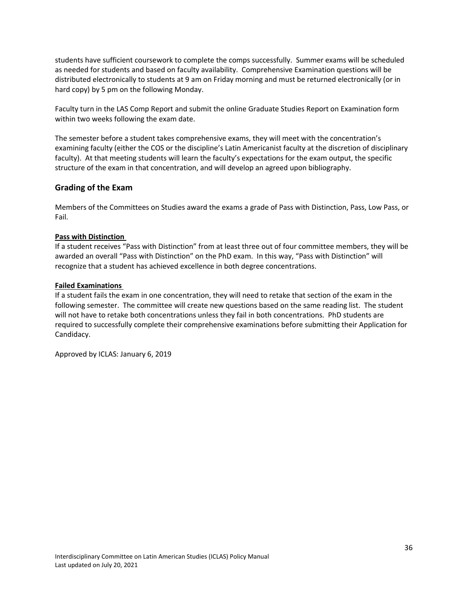students have sufficient coursework to complete the comps successfully. Summer exams will be scheduled as needed for students and based on faculty availability. Comprehensive Examination questions will be distributed electronically to students at 9 am on Friday morning and must be returned electronically (or in hard copy) by 5 pm on the following Monday.

Faculty turn in the LAS Comp Report and submit the online Graduate Studies Report on Examination form within two weeks following the exam date.

The semester before a student takes comprehensive exams, they will meet with the concentration's examining faculty (either the COS or the discipline's Latin Americanist faculty at the discretion of disciplinary faculty). At that meeting students will learn the faculty's expectations for the exam output, the specific structure of the exam in that concentration, and will develop an agreed upon bibliography.

#### <span id="page-35-0"></span>**Grading of the Exam**

Members of the Committees on Studies award the exams a grade of Pass with Distinction, Pass, Low Pass, or Fail.

#### **Pass with Distinction**

If a student receives "Pass with Distinction" from at least three out of four committee members, they will be awarded an overall "Pass with Distinction" on the PhD exam. In this way, "Pass with Distinction" will recognize that a student has achieved excellence in both degree concentrations.

#### **Failed Examinations**

If a student fails the exam in one concentration, they will need to retake that section of the exam in the following semester. The committee will create new questions based on the same reading list. The student will not have to retake both concentrations unless they fail in both concentrations. PhD students are required to successfully complete their comprehensive examinations before submitting their Application for Candidacy.

Approved by ICLAS: January 6, 2019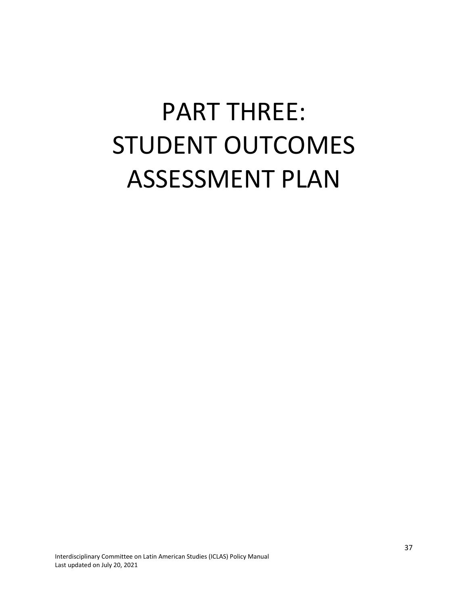# <span id="page-36-0"></span>PART THREE: STUDENT OUTCOMES ASSESSMENT PLAN

Interdisciplinary Committee on Latin American Studies (ICLAS) Policy Manual Last updated on July 20, 2021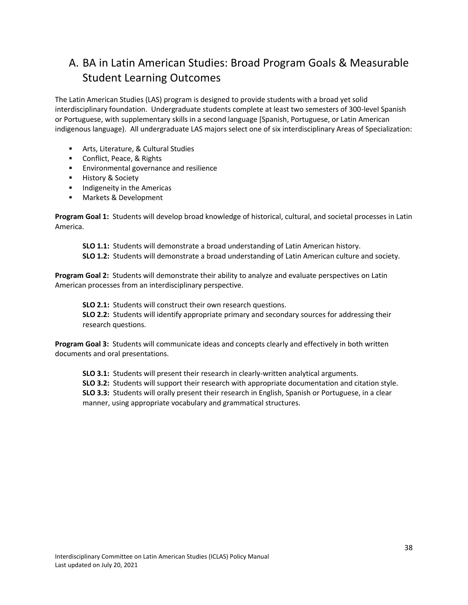## <span id="page-37-0"></span>A. BA in Latin American Studies: Broad Program Goals & Measurable Student Learning Outcomes

The Latin American Studies (LAS) program is designed to provide students with a broad yet solid interdisciplinary foundation. Undergraduate students complete at least two semesters of 300-level Spanish or Portuguese, with supplementary skills in a second language [Spanish, Portuguese, or Latin American indigenous language). All undergraduate LAS majors select one of six interdisciplinary Areas of Specialization:

- Arts, Literature, & Cultural Studies
- Conflict, Peace, & Rights
- **Environmental governance and resilience**
- **■** History & Society
- **■** Indigeneity in the Americas
- Markets & Development

**Program Goal 1:** Students will develop broad knowledge of historical, cultural, and societal processes in Latin America.

**SLO 1.1:** Students will demonstrate a broad understanding of Latin American history.

**SLO 1.2:** Students will demonstrate a broad understanding of Latin American culture and society.

**Program Goal 2:** Students will demonstrate their ability to analyze and evaluate perspectives on Latin American processes from an interdisciplinary perspective.

**SLO 2.1:** Students will construct their own research questions. **SLO 2.2:** Students will identify appropriate primary and secondary sources for addressing their research questions.

**Program Goal 3:** Students will communicate ideas and concepts clearly and effectively in both written documents and oral presentations.

**SLO 3.1:** Students will present their research in clearly-written analytical arguments.

**SLO 3.2:** Students will support their research with appropriate documentation and citation style.

**SLO 3.3:** Students will orally present their research in English, Spanish or Portuguese, in a clear manner, using appropriate vocabulary and grammatical structures.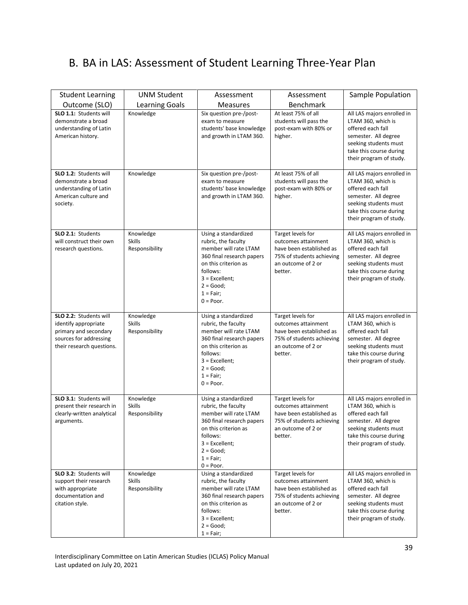## <span id="page-38-0"></span>B. BA in LAS: Assessment of Student Learning Three-Year Plan

| <b>Student Learning</b><br>Outcome (SLO)                                                                                       | <b>UNM Student</b><br><b>Learning Goals</b>  | Assessment<br><b>Measures</b>                                                                                                                                                                           | Assessment<br>Benchmark                                                                                                            | Sample Population                                                                                                                                                            |
|--------------------------------------------------------------------------------------------------------------------------------|----------------------------------------------|---------------------------------------------------------------------------------------------------------------------------------------------------------------------------------------------------------|------------------------------------------------------------------------------------------------------------------------------------|------------------------------------------------------------------------------------------------------------------------------------------------------------------------------|
| SLO 1.1: Students will<br>demonstrate a broad<br>understanding of Latin<br>American history.                                   | Knowledge                                    | Six question pre-/post-<br>exam to measure<br>students' base knowledge<br>and growth in LTAM 360.                                                                                                       | At least 75% of all<br>students will pass the<br>post-exam with 80% or<br>higher.                                                  | All LAS majors enrolled in<br>LTAM 360, which is<br>offered each fall<br>semester. All degree<br>seeking students must<br>take this course during<br>their program of study. |
| SLO 1.2: Students will<br>demonstrate a broad<br>understanding of Latin<br>American culture and<br>society.                    | Knowledge                                    | Six question pre-/post-<br>exam to measure<br>students' base knowledge<br>and growth in LTAM 360.                                                                                                       | At least 75% of all<br>students will pass the<br>post-exam with 80% or<br>higher.                                                  | All LAS majors enrolled in<br>LTAM 360, which is<br>offered each fall<br>semester. All degree<br>seeking students must<br>take this course during<br>their program of study. |
| SLO 2.1: Students<br>will construct their own<br>research questions.                                                           | Knowledge<br><b>Skills</b><br>Responsibility | Using a standardized<br>rubric, the faculty<br>member will rate LTAM<br>360 final research papers<br>on this criterion as<br>follows:<br>$3$ = Excellent;<br>$2 = Good;$<br>$1 = Fair;$<br>$0 = Poor$ . | Target levels for<br>outcomes attainment<br>have been established as<br>75% of students achieving<br>an outcome of 2 or<br>better. | All LAS majors enrolled in<br>LTAM 360, which is<br>offered each fall<br>semester. All degree<br>seeking students must<br>take this course during<br>their program of study. |
| SLO 2.2: Students will<br>identify appropriate<br>primary and secondary<br>sources for addressing<br>their research questions. | Knowledge<br><b>Skills</b><br>Responsibility | Using a standardized<br>rubric, the faculty<br>member will rate LTAM<br>360 final research papers<br>on this criterion as<br>follows:<br>$3$ = Excellent;<br>$2 = Good;$<br>$1 = Fair;$<br>$0 = Poor.$  | Target levels for<br>outcomes attainment<br>have been established as<br>75% of students achieving<br>an outcome of 2 or<br>better. | All LAS majors enrolled in<br>LTAM 360, which is<br>offered each fall<br>semester. All degree<br>seeking students must<br>take this course during<br>their program of study. |
| SLO 3.1: Students will<br>present their research in<br>clearly-written analytical<br>arguments.                                | Knowledge<br><b>Skills</b><br>Responsibility | Using a standardized<br>rubric, the faculty<br>member will rate LTAM<br>360 final research papers<br>on this criterion as<br>follows:<br>$3$ = Excellent;<br>$2 = Good;$<br>$1 = Fair;$<br>$0 = Poor.$  | Target levels for<br>outcomes attainment<br>have been established as<br>75% of students achieving<br>an outcome of 2 or<br>better. | All LAS majors enrolled in<br>LTAM 360, which is<br>offered each fall<br>semester. All degree<br>seeking students must<br>take this course during<br>their program of study. |
| SLO 3.2: Students will<br>support their research<br>with appropriate<br>documentation and<br>citation style.                   | Knowledge<br><b>Skills</b><br>Responsibility | Using a standardized<br>rubric, the faculty<br>member will rate LTAM<br>360 final research papers<br>on this criterion as<br>follows:<br>$3$ = Excellent;<br>$2 = Good;$<br>$1 = Fair;$                 | Target levels for<br>outcomes attainment<br>have been established as<br>75% of students achieving<br>an outcome of 2 or<br>better. | All LAS majors enrolled in<br>LTAM 360, which is<br>offered each fall<br>semester. All degree<br>seeking students must<br>take this course during<br>their program of study. |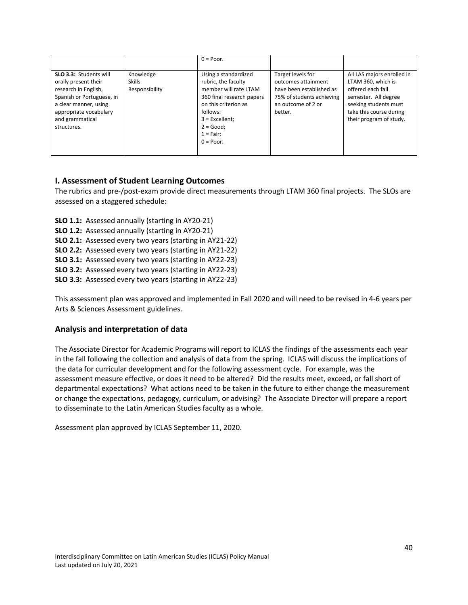|                                                                                                                                                                                          |                                              | $0 = Poor$ .                                                                                                                                                                                             |                                                                                                                                    |                                                                                                                                                                              |
|------------------------------------------------------------------------------------------------------------------------------------------------------------------------------------------|----------------------------------------------|----------------------------------------------------------------------------------------------------------------------------------------------------------------------------------------------------------|------------------------------------------------------------------------------------------------------------------------------------|------------------------------------------------------------------------------------------------------------------------------------------------------------------------------|
| SLO 3.3: Students will<br>orally present their<br>research in English,<br>Spanish or Portuguese, in<br>a clear manner, using<br>appropriate vocabulary<br>and grammatical<br>structures. | Knowledge<br><b>Skills</b><br>Responsibility | Using a standardized<br>rubric, the faculty<br>member will rate LTAM<br>360 final research papers<br>on this criterion as<br>follows:<br>$3$ = Excellent;<br>$2 = Good:$<br>$1 = Fair$ :<br>$0 = Poor$ . | Target levels for<br>outcomes attainment<br>have been established as<br>75% of students achieving<br>an outcome of 2 or<br>better. | All LAS majors enrolled in<br>LTAM 360, which is<br>offered each fall<br>semester. All degree<br>seeking students must<br>take this course during<br>their program of study. |

#### <span id="page-39-0"></span>**I. Assessment of Student Learning Outcomes**

The rubrics and pre-/post-exam provide direct measurements through LTAM 360 final projects. The SLOs are assessed on a staggered schedule:

- **SLO 1.1:** Assessed annually (starting in AY20-21)
- **SLO 1.2:** Assessed annually (starting in AY20-21)
- **SLO 2.1:** Assessed every two years (starting in AY21-22)
- **SLO 2.2:** Assessed every two years (starting in AY21-22)
- **SLO 3.1:** Assessed every two years (starting in AY22-23)
- **SLO 3.2:** Assessed every two years (starting in AY22-23)
- **SLO 3.3:** Assessed every two years (starting in AY22-23)

This assessment plan was approved and implemented in Fall 2020 and will need to be revised in 4-6 years per Arts & Sciences Assessment guidelines.

#### <span id="page-39-1"></span>**Analysis and interpretation of data**

The Associate Director for Academic Programs will report to ICLAS the findings of the assessments each year in the fall following the collection and analysis of data from the spring. ICLAS will discuss the implications of the data for curricular development and for the following assessment cycle. For example, was the assessment measure effective, or does it need to be altered? Did the results meet, exceed, or fall short of departmental expectations? What actions need to be taken in the future to either change the measurement or change the expectations, pedagogy, curriculum, or advising? The Associate Director will prepare a report to disseminate to the Latin American Studies faculty as a whole.

Assessment plan approved by ICLAS September 11, 2020.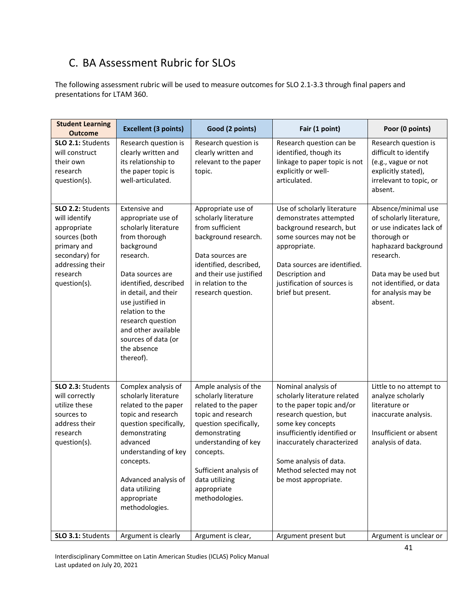## <span id="page-40-0"></span>C. BA Assessment Rubric for SLOs

The following assessment rubric will be used to measure outcomes for SLO 2.1-3.3 through final papers and presentations for LTAM 360.

| <b>Student Learning</b><br><b>Outcome</b>                                                                                                           | <b>Excellent (3 points)</b>                                                                                                                                                                                                                                                                                               | Good (2 points)                                                                                                                                                                                                                                          | Fair (1 point)                                                                                                                                                                                                                                                             | Poor (0 points)                                                                                                                                                                                                      |
|-----------------------------------------------------------------------------------------------------------------------------------------------------|---------------------------------------------------------------------------------------------------------------------------------------------------------------------------------------------------------------------------------------------------------------------------------------------------------------------------|----------------------------------------------------------------------------------------------------------------------------------------------------------------------------------------------------------------------------------------------------------|----------------------------------------------------------------------------------------------------------------------------------------------------------------------------------------------------------------------------------------------------------------------------|----------------------------------------------------------------------------------------------------------------------------------------------------------------------------------------------------------------------|
| SLO 2.1: Students<br>will construct<br>their own<br>research<br>question(s).                                                                        | Research question is<br>clearly written and<br>its relationship to<br>the paper topic is<br>well-articulated.                                                                                                                                                                                                             | Research question is<br>clearly written and<br>relevant to the paper<br>topic.                                                                                                                                                                           | Research question can be<br>identified, though its<br>linkage to paper topic is not<br>explicitly or well-<br>articulated.                                                                                                                                                 | Research question is<br>difficult to identify<br>(e.g., vague or not<br>explicitly stated),<br>irrelevant to topic, or<br>absent.                                                                                    |
| SLO 2.2: Students<br>will identify<br>appropriate<br>sources (both<br>primary and<br>secondary) for<br>addressing their<br>research<br>question(s). | <b>Extensive and</b><br>appropriate use of<br>scholarly literature<br>from thorough<br>background<br>research.<br>Data sources are<br>identified, described<br>in detail, and their<br>use justified in<br>relation to the<br>research question<br>and other available<br>sources of data (or<br>the absence<br>thereof). | Appropriate use of<br>scholarly literature<br>from sufficient<br>background research.<br>Data sources are<br>identified, described,<br>and their use justified<br>in relation to the<br>research question.                                               | Use of scholarly literature<br>demonstrates attempted<br>background research, but<br>some sources may not be<br>appropriate.<br>Data sources are identified.<br>Description and<br>justification of sources is<br>brief but present.                                       | Absence/minimal use<br>of scholarly literature,<br>or use indicates lack of<br>thorough or<br>haphazard background<br>research.<br>Data may be used but<br>not identified, or data<br>for analysis may be<br>absent. |
| SLO 2.3: Students<br>will correctly<br>utilize these<br>sources to<br>address their<br>research<br>question(s).                                     | Complex analysis of<br>scholarly literature<br>related to the paper<br>topic and research<br>question specifically,<br>demonstrating<br>advanced<br>understanding of key<br>concepts.<br>Advanced analysis of<br>data utilizing<br>appropriate<br>methodologies.                                                          | Ample analysis of the<br>scholarly literature<br>related to the paper<br>topic and research<br>question specifically,<br>demonstrating<br>understanding of key<br>concepts.<br>Sufficient analysis of<br>data utilizing<br>appropriate<br>methodologies. | Nominal analysis of<br>scholarly literature related<br>to the paper topic and/or<br>research question, but<br>some key concepts<br>insufficiently identified or<br>inaccurately characterized<br>Some analysis of data.<br>Method selected may not<br>be most appropriate. | Little to no attempt to<br>analyze scholarly<br>literature or<br>inaccurate analysis.<br>Insufficient or absent<br>analysis of data.                                                                                 |
| SLO 3.1: Students                                                                                                                                   | Argument is clearly                                                                                                                                                                                                                                                                                                       | Argument is clear,                                                                                                                                                                                                                                       | Argument present but                                                                                                                                                                                                                                                       | Argument is unclear or                                                                                                                                                                                               |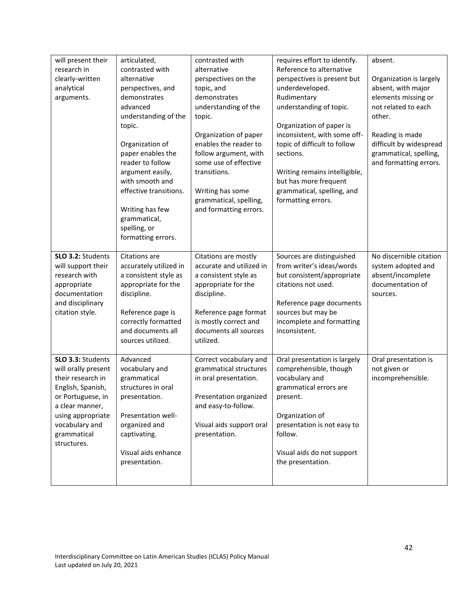| will present their  | articulated,                       | contrasted with          | requires effort to identify.  | absent.                 |
|---------------------|------------------------------------|--------------------------|-------------------------------|-------------------------|
| research in         | contrasted with                    | alternative              | Reference to alternative      |                         |
| clearly-written     | alternative                        | perspectives on the      | perspectives is present but   | Organization is largely |
| analytical          | perspectives, and                  | topic, and               | underdeveloped.               | absent, with major      |
| arguments.          | demonstrates                       | demonstrates             | Rudimentary                   | elements missing or     |
|                     | advanced                           | understanding of the     | understanding of topic.       | not related to each     |
|                     | understanding of the               | topic.                   |                               | other.                  |
|                     | topic.                             |                          | Organization of paper is      |                         |
|                     |                                    | Organization of paper    | inconsistent, with some off-  | Reading is made         |
|                     | Organization of                    | enables the reader to    | topic of difficult to follow  | difficult by widespread |
|                     | paper enables the                  | follow argument, with    | sections.                     | grammatical, spelling,  |
|                     | reader to follow                   | some use of effective    |                               | and formatting errors.  |
|                     | argument easily,                   | transitions.             | Writing remains intelligible, |                         |
|                     | with smooth and                    |                          | but has more frequent         |                         |
|                     | effective transitions.             | Writing has some         | grammatical, spelling, and    |                         |
|                     |                                    | grammatical, spelling,   | formatting errors.            |                         |
|                     | Writing has few                    | and formatting errors.   |                               |                         |
|                     | grammatical,                       |                          |                               |                         |
|                     | spelling, or<br>formatting errors. |                          |                               |                         |
|                     |                                    |                          |                               |                         |
| SLO 3.2: Students   | Citations are                      | Citations are mostly     | Sources are distinguished     | No discernible citation |
| will support their  | accurately utilized in             | accurate and utilized in | from writer's ideas/words     | system adopted and      |
| research with       | a consistent style as              | a consistent style as    | but consistent/appropriate    | absent/incomplete       |
| appropriate         | appropriate for the                | appropriate for the      | citations not used.           | documentation of        |
| documentation       | discipline.                        | discipline.              |                               | sources.                |
| and disciplinary    |                                    |                          | Reference page documents      |                         |
| citation style.     | Reference page is                  | Reference page format    | sources but may be            |                         |
|                     | correctly formatted                | is mostly correct and    | incomplete and formatting     |                         |
|                     | and documents all                  | documents all sources    | inconsistent.                 |                         |
|                     | sources utilized.                  | utilized.                |                               |                         |
|                     |                                    |                          |                               |                         |
| SLO 3.3: Students   | Advanced                           | Correct vocabulary and   | Oral presentation is largely  | Oral presentation is    |
| will orally present | vocabulary and                     | grammatical structures   | comprehensible, though        | not given or            |
| their research in   | grammatical                        | in oral presentation.    | vocabulary and                | incomprehensible.       |
| English, Spanish,   | structures in oral                 |                          | grammatical errors are        |                         |
| or Portuguese, in   | presentation.                      | Presentation organized   | present.                      |                         |
| a clear manner,     |                                    | and easy-to-follow.      |                               |                         |
| using appropriate   | Presentation well-                 |                          | Organization of               |                         |
| vocabulary and      | organized and                      | Visual aids support oral | presentation is not easy to   |                         |
| grammatical         | captivating.                       | presentation.            | follow.                       |                         |
| structures.         |                                    |                          |                               |                         |
|                     | Visual aids enhance                |                          | Visual aids do not support    |                         |
|                     | presentation.                      |                          | the presentation.             |                         |
|                     |                                    |                          |                               |                         |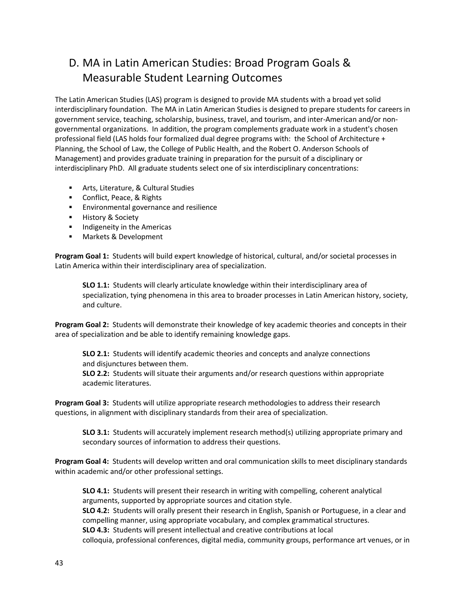## <span id="page-42-0"></span>D. MA in Latin American Studies: Broad Program Goals & Measurable Student Learning Outcomes

The Latin American Studies (LAS) program is designed to provide MA students with a broad yet solid interdisciplinary foundation. The MA in Latin American Studies is designed to prepare students for careers in government service, teaching, scholarship, business, travel, and tourism, and inter-American and/or nongovernmental organizations. In addition, the program complements graduate work in a student's chosen professional field (LAS holds four formalized dual degree programs with: the School of Architecture + Planning, the School of Law, the College of Public Health, and the Robert O. Anderson Schools of Management) and provides graduate training in preparation for the pursuit of a disciplinary or interdisciplinary PhD. All graduate students select one of six interdisciplinary concentrations:

- Arts, Literature, & Cultural Studies
- Conflict, Peace, & Rights
- Environmental governance and resilience
- History & Society
- **■** Indigeneity in the Americas
- Markets & Development

**Program Goal 1:** Students will build expert knowledge of historical, cultural, and/or societal processes in Latin America within their interdisciplinary area of specialization.

**SLO 1.1:** Students will clearly articulate knowledge within their interdisciplinary area of specialization, tying phenomena in this area to broader processes in Latin American history, society, and culture.

**Program Goal 2:** Students will demonstrate their knowledge of key academic theories and concepts in their area of specialization and be able to identify remaining knowledge gaps.

**SLO 2.1:** Students will identify academic theories and concepts and analyze connections and disjunctures between them.

**SLO 2.2:** Students will situate their arguments and/or research questions within appropriate academic literatures.

**Program Goal 3:** Students will utilize appropriate research methodologies to address their research questions, in alignment with disciplinary standards from their area of specialization.

**SLO 3.1:** Students will accurately implement research method(s) utilizing appropriate primary and secondary sources of information to address their questions.

**Program Goal 4:** Students will develop written and oral communication skills to meet disciplinary standards within academic and/or other professional settings.

**SLO 4.1:** Students will present their research in writing with compelling, coherent analytical arguments, supported by appropriate sources and citation style.

**SLO 4.2:** Students will orally present their research in English, Spanish or Portuguese, in a clear and compelling manner, using appropriate vocabulary, and complex grammatical structures.

**SLO 4.3:** Students will present intellectual and creative contributions at local

colloquia, professional conferences, digital media, community groups, performance art venues, or in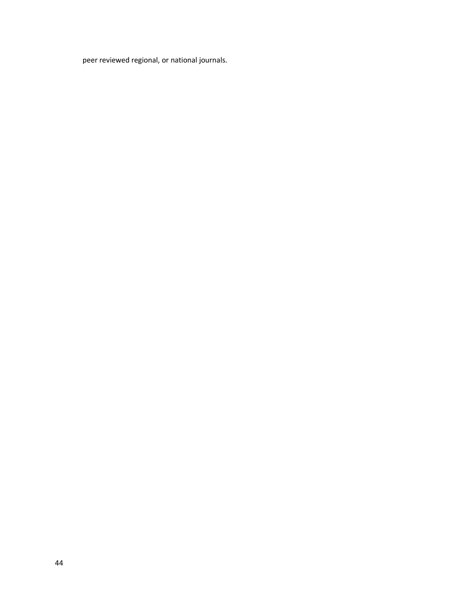peer reviewed regional, or national journals.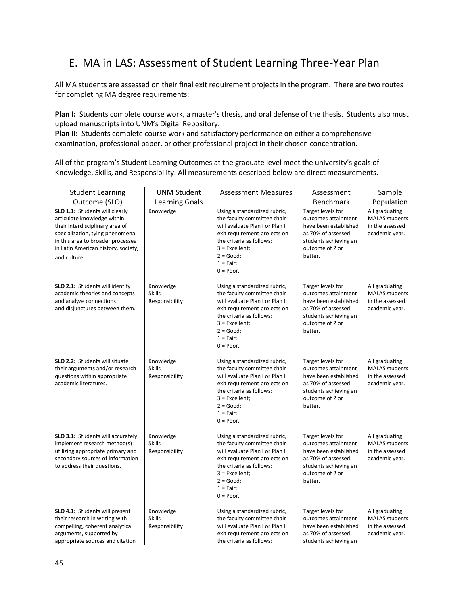## <span id="page-44-0"></span>E. MA in LAS: Assessment of Student Learning Three-Year Plan

All MA students are assessed on their final exit requirement projects in the program. There are two routes for completing MA degree requirements:

Plan I: Students complete course work, a master's thesis, and oral defense of the thesis. Students also must upload manuscripts into UNM's Digital Repository.

**Plan II:** Students complete course work and satisfactory performance on either a comprehensive examination, professional paper, or other professional project in their chosen concentration.

All of the program's Student Learning Outcomes at the graduate level meet the university's goals of Knowledge, Skills, and Responsibility. All measurements described below are direct measurements.

| <b>Student Learning</b>                                                                                                                                                                                                         | <b>UNM Student</b>                           | <b>Assessment Measures</b>                                                                                                                                                                                                   | Assessment                                                                                                                                     | Sample                                                                       |
|---------------------------------------------------------------------------------------------------------------------------------------------------------------------------------------------------------------------------------|----------------------------------------------|------------------------------------------------------------------------------------------------------------------------------------------------------------------------------------------------------------------------------|------------------------------------------------------------------------------------------------------------------------------------------------|------------------------------------------------------------------------------|
| Outcome (SLO)                                                                                                                                                                                                                   | <b>Learning Goals</b>                        |                                                                                                                                                                                                                              | Benchmark                                                                                                                                      | Population                                                                   |
| SLO 1.1: Students will clearly<br>articulate knowledge within<br>their interdisciplinary area of<br>specialization, tying phenomena<br>in this area to broader processes<br>in Latin American history, society,<br>and culture. | Knowledge                                    | Using a standardized rubric,<br>the faculty committee chair<br>will evaluate Plan I or Plan II<br>exit requirement projects on<br>the criteria as follows:<br>$3$ = Excellent:<br>$2 = Good;$<br>$1 = Fair;$<br>$0 = Poor$ . | Target levels for<br>outcomes attainment<br>have been established<br>as 70% of assessed<br>students achieving an<br>outcome of 2 or<br>better. | All graduating<br><b>MALAS students</b><br>in the assessed<br>academic year. |
| SLO 2.1: Students will identify<br>academic theories and concepts<br>and analyze connections<br>and disjunctures between them.                                                                                                  | Knowledge<br>Skills<br>Responsibility        | Using a standardized rubric,<br>the faculty committee chair<br>will evaluate Plan I or Plan II<br>exit requirement projects on<br>the criteria as follows:<br>$3$ = Excellent:<br>$2 = Good;$<br>$1 = Fair;$<br>$0 = Poor.$  | Target levels for<br>outcomes attainment<br>have been established<br>as 70% of assessed<br>students achieving an<br>outcome of 2 or<br>better. | All graduating<br><b>MALAS students</b><br>in the assessed<br>academic year. |
| SLO 2.2: Students will situate<br>their arguments and/or research<br>questions within appropriate<br>academic literatures.                                                                                                      | Knowledge<br><b>Skills</b><br>Responsibility | Using a standardized rubric,<br>the faculty committee chair<br>will evaluate Plan I or Plan II<br>exit requirement projects on<br>the criteria as follows:<br>$3$ = Excellent;<br>$2 = Good;$<br>$1 = Fair;$<br>$0 = Poor.$  | Target levels for<br>outcomes attainment<br>have been established<br>as 70% of assessed<br>students achieving an<br>outcome of 2 or<br>better. | All graduating<br><b>MALAS students</b><br>in the assessed<br>academic year. |
| SLO 3.1: Students will accurately<br>implement research method(s)<br>utilizing appropriate primary and<br>secondary sources of information<br>to address their questions.                                                       | Knowledge<br><b>Skills</b><br>Responsibility | Using a standardized rubric,<br>the faculty committee chair<br>will evaluate Plan I or Plan II<br>exit requirement projects on<br>the criteria as follows:<br>$3$ = Excellent;<br>$2 = Good;$<br>$1 = Fair;$<br>$0 = Poor.$  | Target levels for<br>outcomes attainment<br>have been established<br>as 70% of assessed<br>students achieving an<br>outcome of 2 or<br>better. | All graduating<br><b>MALAS students</b><br>in the assessed<br>academic year. |
| SLO 4.1: Students will present<br>their research in writing with<br>compelling, coherent analytical<br>arguments, supported by<br>appropriate sources and citation                                                              | Knowledge<br><b>Skills</b><br>Responsibility | Using a standardized rubric,<br>the faculty committee chair<br>will evaluate Plan I or Plan II<br>exit requirement projects on<br>the criteria as follows:                                                                   | Target levels for<br>outcomes attainment<br>have been established<br>as 70% of assessed<br>students achieving an                               | All graduating<br><b>MALAS students</b><br>in the assessed<br>academic year. |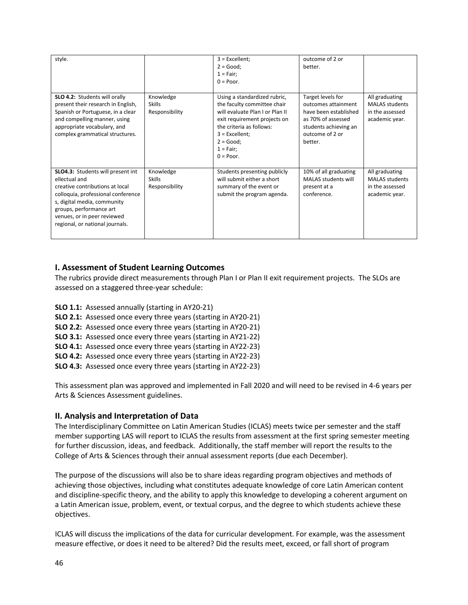| style.                                                                                                                                                                                                                                                  |                                              | $3$ = Excellent;<br>$2 = Good;$<br>$1 = Fair;$<br>$0 = Poor$ .                                                                                                                                                              | outcome of 2 or<br>better.                                                                                                                     |                                                                              |
|---------------------------------------------------------------------------------------------------------------------------------------------------------------------------------------------------------------------------------------------------------|----------------------------------------------|-----------------------------------------------------------------------------------------------------------------------------------------------------------------------------------------------------------------------------|------------------------------------------------------------------------------------------------------------------------------------------------|------------------------------------------------------------------------------|
| SLO 4.2: Students will orally<br>present their research in English,<br>Spanish or Portuguese, in a clear<br>and compelling manner, using<br>appropriate vocabulary, and<br>complex grammatical structures.                                              | Knowledge<br><b>Skills</b><br>Responsibility | Using a standardized rubric,<br>the faculty committee chair<br>will evaluate Plan I or Plan II<br>exit requirement projects on<br>the criteria as follows:<br>$3$ = Excellent;<br>$2 = Good;$<br>$1 = Fair;$<br>$0 = Poor.$ | Target levels for<br>outcomes attainment<br>have been established<br>as 70% of assessed<br>students achieving an<br>outcome of 2 or<br>better. | All graduating<br><b>MALAS students</b><br>in the assessed<br>academic year. |
| SLO4.3: Students will present int<br>ellectual and<br>creative contributions at local<br>colloquia, professional conference<br>s, digital media, community<br>groups, performance art<br>venues, or in peer reviewed<br>regional, or national journals. | Knowledge<br><b>Skills</b><br>Responsibility | Students presenting publicly<br>will submit either a short<br>summary of the event or<br>submit the program agenda.                                                                                                         | 10% of all graduating<br><b>MALAS students will</b><br>present at a<br>conference.                                                             | All graduating<br><b>MALAS students</b><br>in the assessed<br>academic year. |

#### <span id="page-45-0"></span>**I. Assessment of Student Learning Outcomes**

The rubrics provide direct measurements through Plan I or Plan II exit requirement projects. The SLOs are assessed on a staggered three-year schedule:

- **SLO 1.1:** Assessed annually (starting in AY20-21)
- **SLO 2.1:** Assessed once every three years (starting in AY20-21)
- **SLO 2.2:** Assessed once every three years (starting in AY20-21)
- **SLO 3.1:** Assessed once every three years (starting in AY21-22)
- **SLO 4.1:** Assessed once every three years (starting in AY22-23)
- **SLO 4.2:** Assessed once every three years (starting in AY22-23)
- **SLO 4.3:** Assessed once every three years (starting in AY22-23)

This assessment plan was approved and implemented in Fall 2020 and will need to be revised in 4-6 years per Arts & Sciences Assessment guidelines.

#### <span id="page-45-1"></span>**II. Analysis and Interpretation of Data**

The Interdisciplinary Committee on Latin American Studies (ICLAS) meets twice per semester and the staff member supporting LAS will report to ICLAS the results from assessment at the first spring semester meeting for further discussion, ideas, and feedback. Additionally, the staff member will report the results to the College of Arts & Sciences through their annual assessment reports (due each December).

The purpose of the discussions will also be to share ideas regarding program objectives and methods of achieving those objectives, including what constitutes adequate knowledge of core Latin American content and discipline-specific theory, and the ability to apply this knowledge to developing a coherent argument on a Latin American issue, problem, event, or textual corpus, and the degree to which students achieve these objectives.

ICLAS will discuss the implications of the data for curricular development. For example, was the assessment measure effective, or does it need to be altered? Did the results meet, exceed, or fall short of program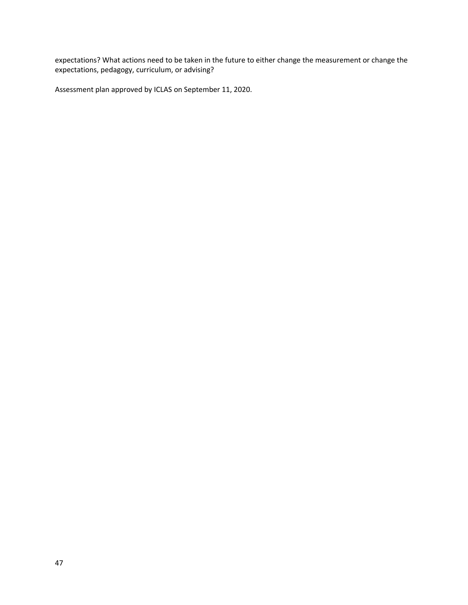expectations? What actions need to be taken in the future to either change the measurement or change the expectations, pedagogy, curriculum, or advising?

Assessment plan approved by ICLAS on September 11, 2020.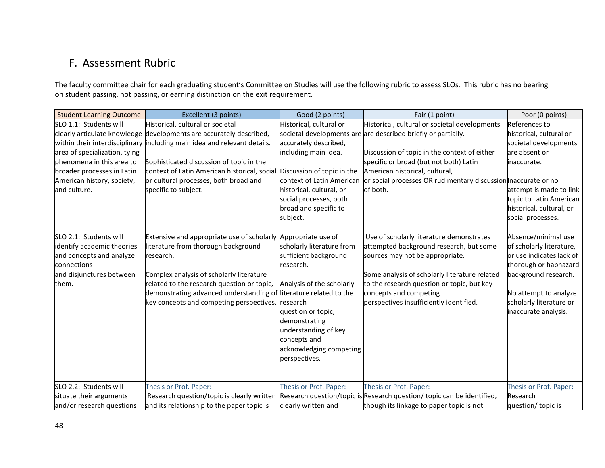## F. Assessment Rubric

The faculty committee chair for each graduating student's Committee on Studies will use the following rubric to assess SLOs. This rubric has no bearing on student passing, not passing, or earning distinction on the exit requirement.

<span id="page-47-0"></span>

| <b>Student Learning Outcome</b> | Excellent (3 points)                                                     | Good (2 points)           | Fair (1 point)                                                                                                   | Poor (0 points)          |
|---------------------------------|--------------------------------------------------------------------------|---------------------------|------------------------------------------------------------------------------------------------------------------|--------------------------|
| SLO 1.1: Students will          | Historical, cultural or societal                                         | Historical, cultural or   | Historical, cultural or societal developments                                                                    | References to            |
|                                 | clearly articulate knowledge developments are accurately described,      |                           | societal developments are are described briefly or partially.                                                    | historical, cultural or  |
|                                 | within their interdisciplinary including main idea and relevant details. | accurately described,     |                                                                                                                  | societal developments    |
| area of specialization, tying   |                                                                          | including main idea.      | Discussion of topic in the context of either                                                                     | are absent or            |
| lphenomena in this area to      | Sophisticated discussion of topic in the                                 |                           | specific or broad (but not both) Latin                                                                           | inaccurate.              |
| broader processes in Latin      | context of Latin American historical, social Discussion of topic in the  |                           | American historical, cultural,                                                                                   |                          |
| American history, society,      | or cultural processes, both broad and                                    | context of Latin American | or social processes OR rudimentary discussion naccurate or no                                                    |                          |
| and culture.                    | specific to subject.                                                     | historical, cultural, or  | of both.                                                                                                         | attempt is made to link  |
|                                 |                                                                          | social processes, both    |                                                                                                                  | topic to Latin American  |
|                                 |                                                                          | broad and specific to     |                                                                                                                  | historical, cultural, or |
|                                 |                                                                          | subject.                  |                                                                                                                  | social processes.        |
| SLO 2.1: Students will          | Extensive and appropriate use of scholarly Appropriate use of            |                           | Use of scholarly literature demonstrates                                                                         | Absence/minimal use      |
| identify academic theories      | literature from thorough background                                      | scholarly literature from | attempted background research, but some                                                                          | of scholarly literature, |
| and concepts and analyze        | research.                                                                | sufficient background     | sources may not be appropriate.                                                                                  | or use indicates lack of |
| connections                     |                                                                          | research.                 |                                                                                                                  | thorough or haphazard    |
| and disjunctures between        | Complex analysis of scholarly literature                                 |                           | Some analysis of scholarly literature related                                                                    | background research.     |
| them.                           | related to the research question or topic,                               | Analysis of the scholarly | to the research question or topic, but key                                                                       |                          |
|                                 | demonstrating advanced understanding of literature related to the        |                           | concepts and competing                                                                                           | No attempt to analyze    |
|                                 | key concepts and competing perspectives. research                        |                           | perspectives insufficiently identified.                                                                          | scholarly literature or  |
|                                 |                                                                          | question or topic,        |                                                                                                                  | inaccurate analysis.     |
|                                 |                                                                          | demonstrating             |                                                                                                                  |                          |
|                                 |                                                                          | understanding of key      |                                                                                                                  |                          |
|                                 |                                                                          | concepts and              |                                                                                                                  |                          |
|                                 |                                                                          | acknowledging competing   |                                                                                                                  |                          |
|                                 |                                                                          | perspectives.             |                                                                                                                  |                          |
|                                 |                                                                          |                           |                                                                                                                  |                          |
| SLO 2.2: Students will          | Thesis or Prof. Paper:                                                   | Thesis or Prof. Paper:    | Thesis or Prof. Paper:                                                                                           | Thesis or Prof. Paper:   |
| situate their arguments         |                                                                          |                           | Research question/topic is clearly written Research question/topic is Research question/topic can be identified, | <b>Research</b>          |
| and/or research questions       | and its relationship to the paper topic is                               | clearly written and       | though its linkage to paper topic is not                                                                         | question/ topic is       |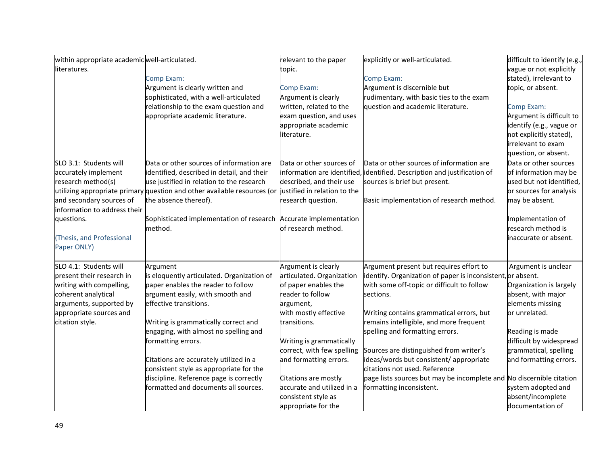| within appropriate academic well-articulated.<br>literatures.                                                                                                                              | Comp Exam:<br>Argument is clearly written and<br>sophisticated, with a well-articulated<br>relationship to the exam question and<br>appropriate academic literature.                                                                                                                                                                                                                                                                      | relevant to the paper<br>topic.<br>Comp Exam:<br>Argument is clearly<br>written, related to the<br>exam question, and uses<br>appropriate academic<br>literature.                                                                                                                                                                          | explicitly or well-articulated.<br>Comp Exam:<br>Argument is discernible but<br>rudimentary, with basic ties to the exam<br>question and academic literature.                                                                                                                                                                                                                                                                                                                                                          | difficult to identify (e.g.,<br>vague or not explicitly<br>stated), irrelevant to<br>topic, or absent.<br>Comp Exam:<br>Argument is difficult to<br>identify (e.g., vague or<br>not explicitly stated),<br>irrelevant to exam<br>question, or absent.                     |
|--------------------------------------------------------------------------------------------------------------------------------------------------------------------------------------------|-------------------------------------------------------------------------------------------------------------------------------------------------------------------------------------------------------------------------------------------------------------------------------------------------------------------------------------------------------------------------------------------------------------------------------------------|--------------------------------------------------------------------------------------------------------------------------------------------------------------------------------------------------------------------------------------------------------------------------------------------------------------------------------------------|------------------------------------------------------------------------------------------------------------------------------------------------------------------------------------------------------------------------------------------------------------------------------------------------------------------------------------------------------------------------------------------------------------------------------------------------------------------------------------------------------------------------|---------------------------------------------------------------------------------------------------------------------------------------------------------------------------------------------------------------------------------------------------------------------------|
| SLO 3.1: Students will<br>accurately implement<br>research method(s)<br>and secondary sources of<br>information to address their<br>questions.<br>(Thesis, and Professional<br>Paper ONLY) | Data or other sources of information are<br>identified, described in detail, and their<br>use justified in relation to the research<br>utilizing appropriate primary question and other available resources (or justified in relation to the<br>the absence thereof).<br>Sophisticated implementation of research Accurate implementation<br>method.                                                                                      | Data or other sources of<br>information are identified,<br>described, and their use<br>research question.<br>of research method.                                                                                                                                                                                                           | Data or other sources of information are<br>identified. Description and justification of<br>sources is brief but present.<br>Basic implementation of research method.                                                                                                                                                                                                                                                                                                                                                  | Data or other sources<br>of information may be<br>used but not identified,<br>or sources for analysis<br>may be absent.<br>Implementation of<br>research method is<br>inaccurate or absent.                                                                               |
| SLO 4.1: Students will<br>present their research in<br>writing with compelling,<br>coherent analytical<br>arguments, supported by<br>appropriate sources and<br>citation style.            | Argument<br>is eloquently articulated. Organization of<br>paper enables the reader to follow<br>argument easily, with smooth and<br>effective transitions.<br>Writing is grammatically correct and<br>engaging, with almost no spelling and<br>formatting errors.<br>Citations are accurately utilized in a<br>consistent style as appropriate for the<br>discipline. Reference page is correctly<br>formatted and documents all sources. | Argument is clearly<br>articulated. Organization<br>of paper enables the<br>reader to follow<br>argument,<br>with mostly effective<br>transitions.<br>Writing is grammatically<br>correct, with few spelling<br>and formatting errors.<br>Citations are mostly<br>accurate and utilized in a<br>consistent style as<br>appropriate for the | Argument present but requires effort to<br>identify. Organization of paper is inconsistent, or absent.<br>with some off-topic or difficult to follow<br>sections.<br>Writing contains grammatical errors, but<br>remains intelligible, and more frequent<br>spelling and formatting errors.<br>Sources are distinguished from writer's<br>ideas/words but consistent/ appropriate<br>citations not used. Reference<br>page lists sources but may be incomplete and No discernible citation<br>formatting inconsistent. | Argument is unclear<br>Organization is largely<br>absent, with major<br>elements missing<br>or unrelated.<br>Reading is made<br>difficult by widespread<br>grammatical, spelling<br>and formatting errors.<br>system adopted and<br>absent/incomplete<br>documentation of |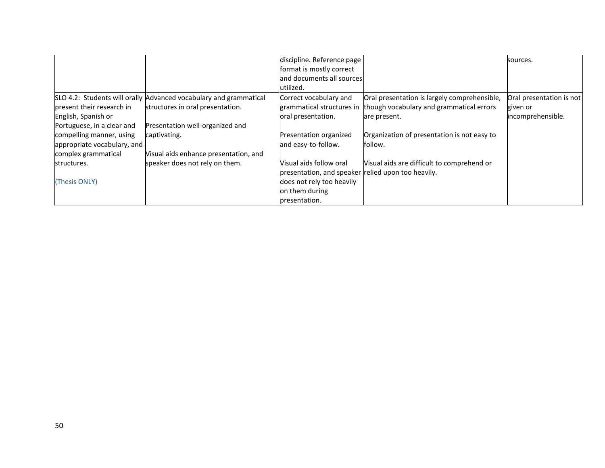|                             |                                                                   | discipline. Reference page                         |                                              | sources.                 |
|-----------------------------|-------------------------------------------------------------------|----------------------------------------------------|----------------------------------------------|--------------------------|
|                             |                                                                   | format is mostly correct                           |                                              |                          |
|                             |                                                                   | and documents all sources                          |                                              |                          |
|                             |                                                                   | utilized.                                          |                                              |                          |
|                             | SLO 4.2: Students will orally Advanced vocabulary and grammatical | Correct vocabulary and                             | Oral presentation is largely comprehensible, | Oral presentation is not |
| present their research in   | structures in oral presentation.                                  | grammatical structures in                          | though vocabulary and grammatical errors     | given or                 |
| English, Spanish or         |                                                                   | oral presentation.                                 | are present.                                 | incomprehensible.        |
| Portuguese, in a clear and  | Presentation well-organized and                                   |                                                    |                                              |                          |
| compelling manner, using    | captivating.                                                      | Presentation organized                             | Organization of presentation is not easy to  |                          |
| appropriate vocabulary, and |                                                                   | and easy-to-follow.                                | follow.                                      |                          |
| complex grammatical         | Visual aids enhance presentation, and                             |                                                    |                                              |                          |
| structures.                 | speaker does not rely on them.                                    | Visual aids follow oral                            | Visual aids are difficult to comprehend or   |                          |
|                             |                                                                   | presentation, and speaker relied upon too heavily. |                                              |                          |
| (Thesis ONLY)               |                                                                   | does not rely too heavily                          |                                              |                          |
|                             |                                                                   | on them during                                     |                                              |                          |
|                             |                                                                   | presentation.                                      |                                              |                          |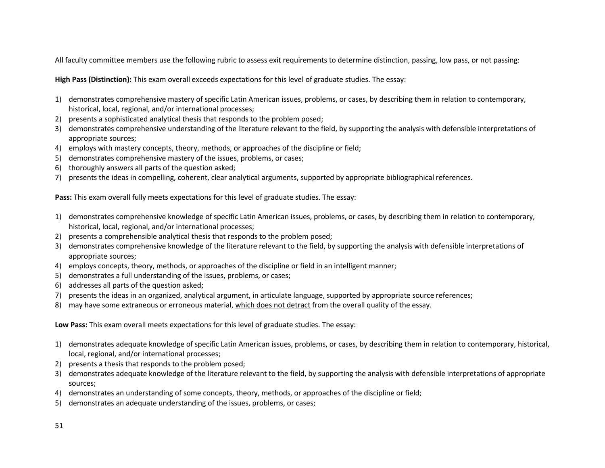All faculty committee members use the following rubric to assess exit requirements to determine distinction, passing, low pass, or not passing:

**High Pass (Distinction):** This exam overall exceeds expectations for this level of graduate studies. The essay:

- 1) demonstrates comprehensive mastery of specific Latin American issues, problems, or cases, by describing them in relation to contemporary, historical, local, regional, and/or international processes;
- 2) presents a sophisticated analytical thesis that responds to the problem posed;
- 3) demonstrates comprehensive understanding of the literature relevant to the field, by supporting the analysis with defensible interpretations of appropriate sources;
- 4) employs with mastery concepts, theory, methods, or approaches of the discipline or field;
- 5) demonstrates comprehensive mastery of the issues, problems, or cases;
- 6) thoroughly answers all parts of the question asked;
- 7) presents the ideas in compelling, coherent, clear analytical arguments, supported by appropriate bibliographical references.

**Pass:** This exam overall fully meets expectations for this level of graduate studies. The essay:

- 1) demonstrates comprehensive knowledge of specific Latin American issues, problems, or cases, by describing them in relation to contemporary, historical, local, regional, and/or international processes;
- 2) presents a comprehensible analytical thesis that responds to the problem posed;
- 3) demonstrates comprehensive knowledge of the literature relevant to the field, by supporting the analysis with defensible interpretations of appropriate sources;
- 4) employs concepts, theory, methods, or approaches of the discipline or field in an intelligent manner;
- 5) demonstrates a full understanding of the issues, problems, or cases;
- 6) addresses all parts of the question asked;
- 7) presents the ideas in an organized, analytical argument, in articulate language, supported by appropriate source references;
- 8) may have some extraneous or erroneous material, which does not detract from the overall quality of the essay.

**Low Pass:** This exam overall meets expectations for this level of graduate studies. The essay:

- 1) demonstrates adequate knowledge of specific Latin American issues, problems, or cases, by describing them in relation to contemporary, historical, local, regional, and/or international processes;
- 2) presents a thesis that responds to the problem posed;
- 3) demonstrates adequate knowledge of the literature relevant to the field, by supporting the analysis with defensible interpretations of appropriate sources;
- 4) demonstrates an understanding of some concepts, theory, methods, or approaches of the discipline or field;
- 5) demonstrates an adequate understanding of the issues, problems, or cases;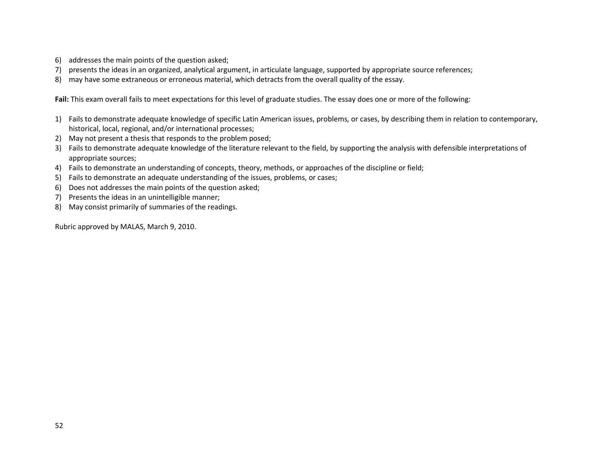- 6) addresses the main points of the question asked;
- 7) presents the ideas in an organized, analytical argument, in articulate language, supported by appropriate source references;
- 8) may have some extraneous or erroneous material, which detracts from the overall quality of the essay.

**Fail:** This exam overall fails to meet expectations for this level of graduate studies. The essay does one or more of the following:

- 1) Fails to demonstrate adequate knowledge of specific Latin American issues, problems, or cases, by describing them in relation to contemporary, historical, local, regional, and/or international processes;
- 2) May not present a thesis that responds to the problem posed;
- 3) Fails to demonstrate adequate knowledge of the literature relevant to the field, by supporting the analysis with defensible interpretations of appropriate sources;
- 4) Fails to demonstrate an understanding of concepts, theory, methods, or approaches of the discipline or field;
- 5) Fails to demonstrate an adequate understanding of the issues, problems, or cases;
- 6) Does not addresses the main points of the question asked;
- 7) Presents the ideas in an unintelligible manner;
- 8) May consist primarily of summaries of the readings.

Rubric approved by MALAS, March 9, 2010.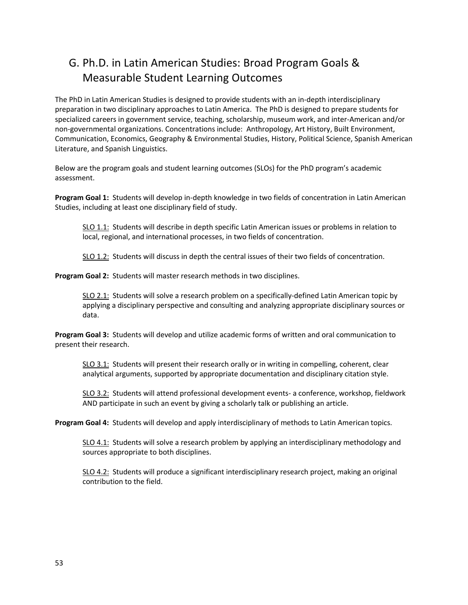## <span id="page-52-0"></span>G. Ph.D. in Latin American Studies: Broad Program Goals & Measurable Student Learning Outcomes

The PhD in Latin American Studies is designed to provide students with an in-depth interdisciplinary preparation in two disciplinary approaches to Latin America. The PhD is designed to prepare students for specialized careers in government service, teaching, scholarship, museum work, and inter-American and/or non-governmental organizations. Concentrations include: Anthropology, Art History, Built Environment, Communication, Economics, Geography & Environmental Studies, History, Political Science, Spanish American Literature, and Spanish Linguistics.

Below are the program goals and student learning outcomes (SLOs) for the PhD program's academic assessment.

**Program Goal 1:** Students will develop in-depth knowledge in two fields of concentration in Latin American Studies, including at least one disciplinary field of study.

SLO 1.1: Students will describe in depth specific Latin American issues or problems in relation to local, regional, and international processes, in two fields of concentration.

SLO 1.2: Students will discuss in depth the central issues of their two fields of concentration.

**Program Goal 2:** Students will master research methods in two disciplines.

SLO 2.1: Students will solve a research problem on a specifically-defined Latin American topic by applying a disciplinary perspective and consulting and analyzing appropriate disciplinary sources or data.

**Program Goal 3:** Students will develop and utilize academic forms of written and oral communication to present their research.

SLO 3.1: Students will present their research orally or in writing in compelling, coherent, clear analytical arguments, supported by appropriate documentation and disciplinary citation style.

SLO 3.2: Students will attend professional development events- a conference, workshop, fieldwork AND participate in such an event by giving a scholarly talk or publishing an article.

**Program Goal 4:** Students will develop and apply interdisciplinary of methods to Latin American topics.

SLO 4.1: Students will solve a research problem by applying an interdisciplinary methodology and sources appropriate to both disciplines.

SLO 4.2: Students will produce a significant interdisciplinary research project, making an original contribution to the field.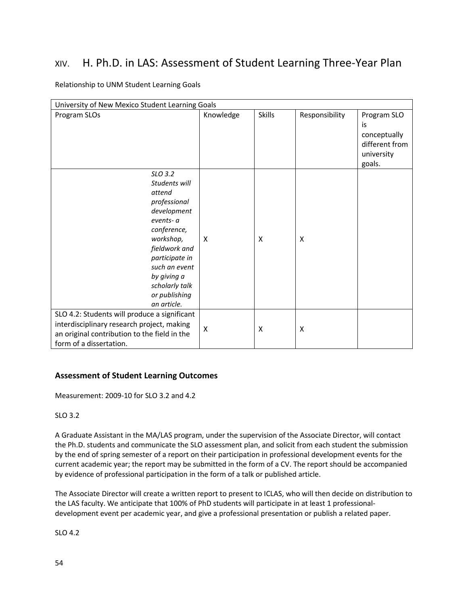## <span id="page-53-0"></span>XIV. H. Ph.D. in LAS: Assessment of Student Learning Three-Year Plan

#### Relationship to UNM Student Learning Goals

| University of New Mexico Student Learning Goals                                                                                                                                                                                 |           |               |                |                                                                             |
|---------------------------------------------------------------------------------------------------------------------------------------------------------------------------------------------------------------------------------|-----------|---------------|----------------|-----------------------------------------------------------------------------|
| Program SLOs                                                                                                                                                                                                                    | Knowledge | <b>Skills</b> | Responsibility | Program SLO<br>is<br>conceptually<br>different from<br>university<br>goals. |
| SLO 3.2<br>Students will<br>attend<br>professional<br>development<br>events- a<br>conference,<br>workshop,<br>fieldwork and<br>participate in<br>such an event<br>by giving a<br>scholarly talk<br>or publishing<br>an article. | X         | X             | X              |                                                                             |
| SLO 4.2: Students will produce a significant<br>interdisciplinary research project, making<br>an original contribution to the field in the<br>form of a dissertation.                                                           | X         | X             | X              |                                                                             |

#### <span id="page-53-1"></span>**Assessment of Student Learning Outcomes**

Measurement: 2009-10 for SLO 3.2 and 4.2

#### SLO 3.2

A Graduate Assistant in the MA/LAS program, under the supervision of the Associate Director, will contact the Ph.D. students and communicate the SLO assessment plan, and solicit from each student the submission by the end of spring semester of a report on their participation in professional development events for the current academic year; the report may be submitted in the form of a CV. The report should be accompanied by evidence of professional participation in the form of a talk or published article.

The Associate Director will create a written report to present to ICLAS, who will then decide on distribution to the LAS faculty. We anticipate that 100% of PhD students will participate in at least 1 professionaldevelopment event per academic year, and give a professional presentation or publish a related paper.

SLO 4.2